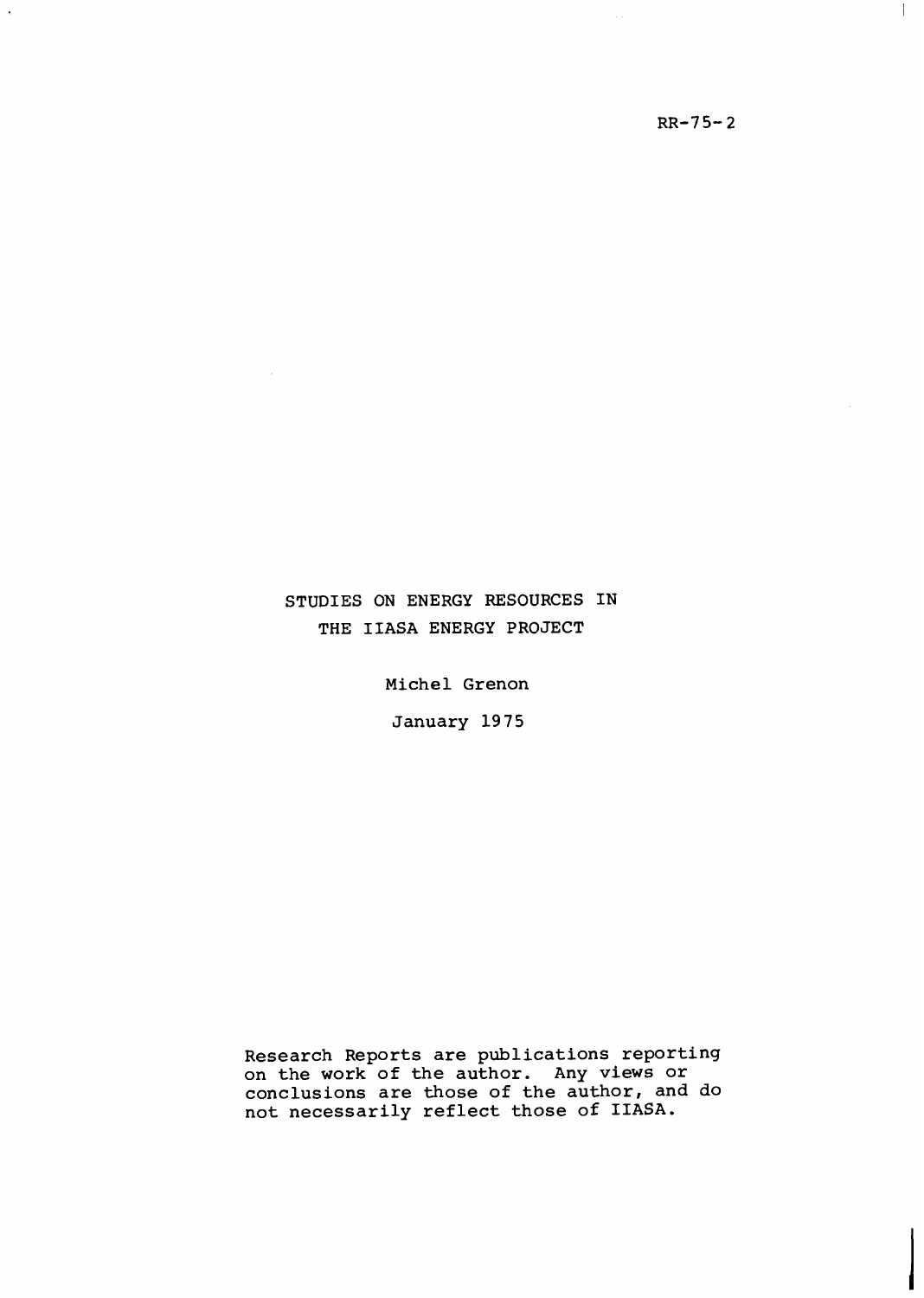$RR - 75 - 2$ 

 $\mathbf{1}$ 

STUDIES ON ENERGY RESOURCES IN THE IIASA ENERGY PROJECT

Michel Grenon

January 1975

Research Reports are publications reporting on the work of the author. Any views or conclusions are those of the author, and do not necessarily reflect those of IIASA.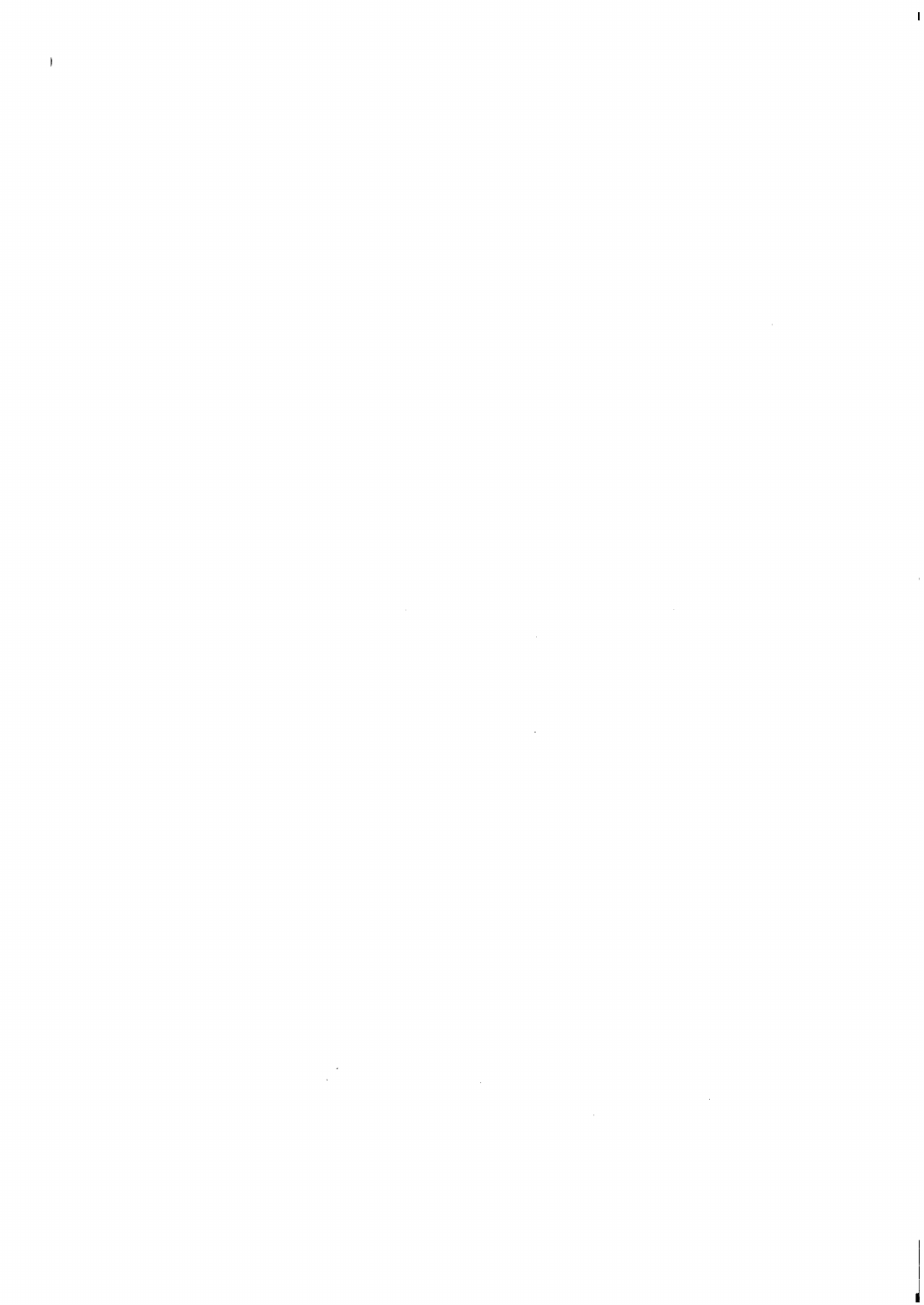$\label{eq:2.1} \frac{1}{\sqrt{2}}\int_{\mathbb{R}^3}\frac{1}{\sqrt{2}}\left(\frac{1}{\sqrt{2}}\right)^2\frac{1}{\sqrt{2}}\left(\frac{1}{\sqrt{2}}\right)^2\frac{1}{\sqrt{2}}\left(\frac{1}{\sqrt{2}}\right)^2\frac{1}{\sqrt{2}}\left(\frac{1}{\sqrt{2}}\right)^2.$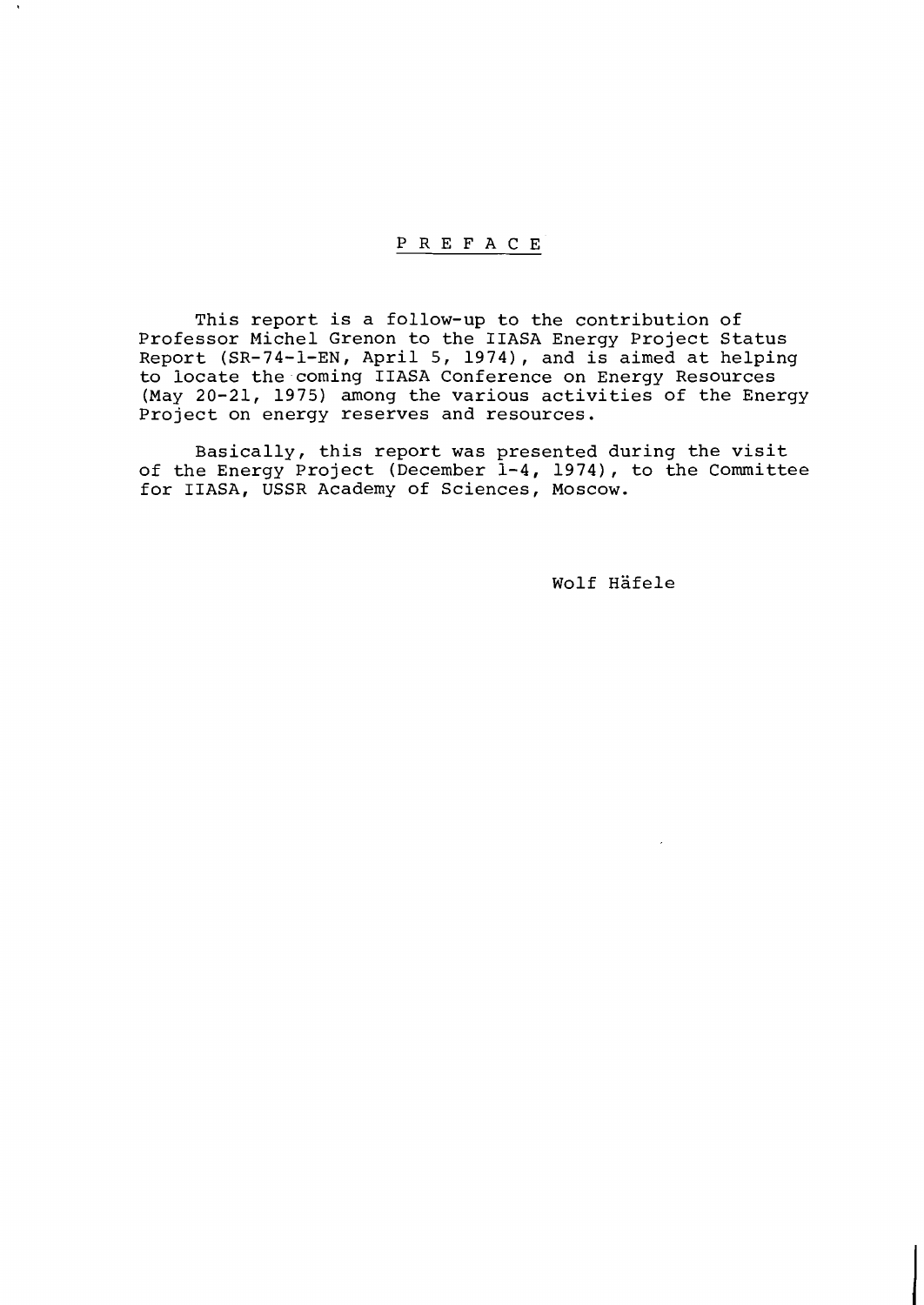### PREFACE

This report is a follow-up to the contribution of Professor Michel Grenon to the IIASA Energy Project Status Report (SR-74-1-EN, April 5, 1974), and is aimed at helping to locate the coming IIASA Conference on Energy Resources (May 20-21, 1975) among the various activities of the Energy Project on energy reserves and resources.

Basically, this report was presented during the visit of the Energy Project (December 1-4, 1974), to the Committee for IIASA, USSR Academy of Sciences, Moscow.

Wolf Häfele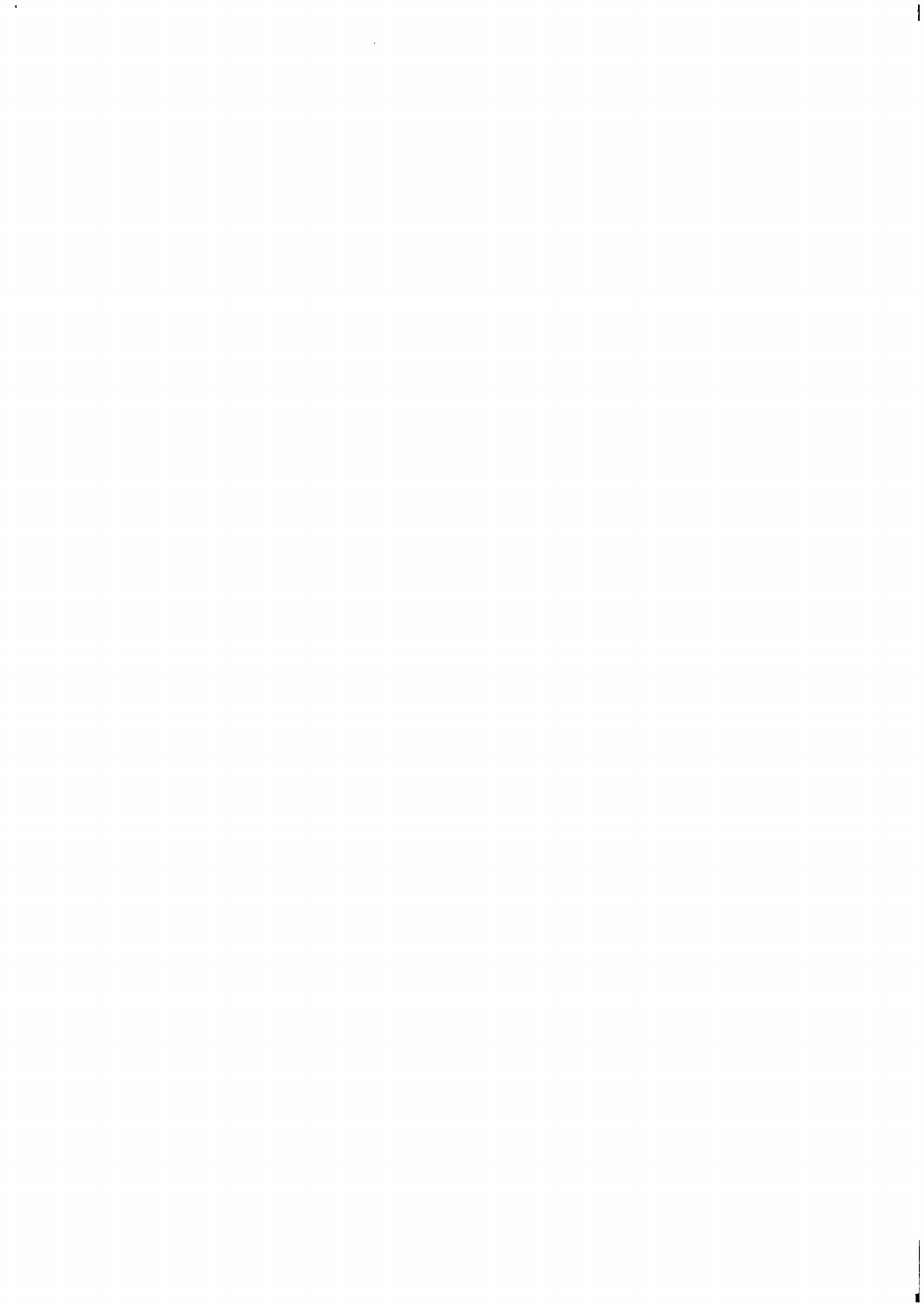$\label{eq:2.1} \frac{1}{\sqrt{2}}\left(\frac{1}{\sqrt{2}}\right)^{2} \left(\frac{1}{\sqrt{2}}\right)^{2} \left(\frac{1}{\sqrt{2}}\right)^{2} \left(\frac{1}{\sqrt{2}}\right)^{2} \left(\frac{1}{\sqrt{2}}\right)^{2} \left(\frac{1}{\sqrt{2}}\right)^{2} \left(\frac{1}{\sqrt{2}}\right)^{2} \left(\frac{1}{\sqrt{2}}\right)^{2} \left(\frac{1}{\sqrt{2}}\right)^{2} \left(\frac{1}{\sqrt{2}}\right)^{2} \left(\frac{1}{\sqrt{2}}\right)^{2} \left(\$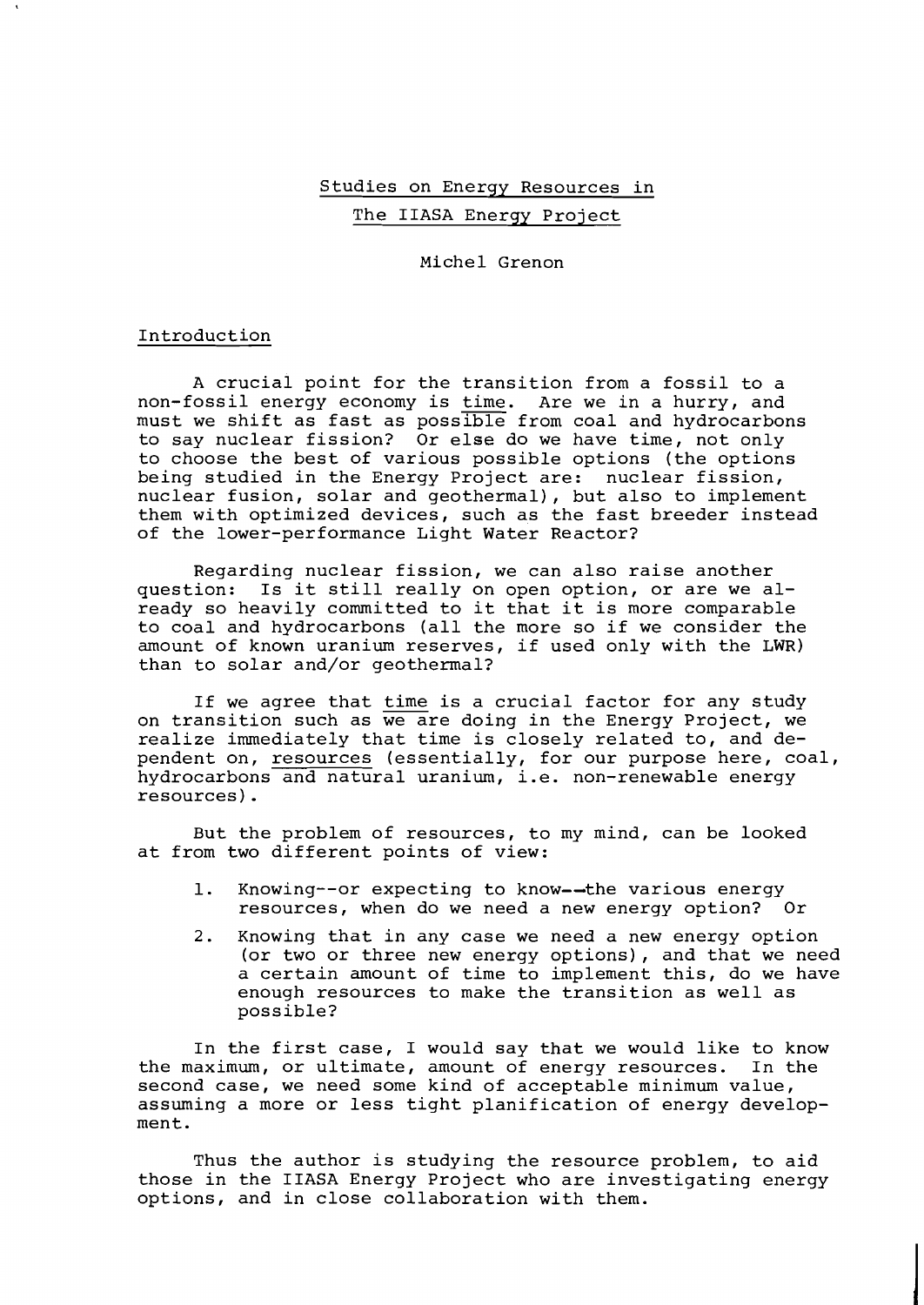### Studies on Energy Resources in

The IIASA Energy Project

Michel Grenon

### Introduction

A crucial point for the transition from a fossil to a non-fossil energy economy is time. Are we in a hurry, and must we shift as fast as possible from coal and hydrocarbons to say nuclear fission? Or else do we have time, not only to choose the best of various possible options (the options being studied in the Energy Project are: nuclear fission, nuclear fusion, solar and geothermal), but also to implement them with optimized devices, such as the fast breeder instead of the lower-performance Light Water Reactor?

Regarding nuclear fission, we can also raise another question: Is it still really on open option, or are we already so heavily committed to it that it is more comparable to coal and hydrocarbons (all the more so if we consider the amount of known uranium reserves, if used only with the LWR) than to solar and/or geothermal?

If we agree that time is a crucial factor for any study on transition such as we are doing in the Energy Project, we realize immediately that time is closely related to, and dependent on, resources (essentially, for our purpose here, coal, hydrocarbons and natural uranium, i.e. non-renewable energy resources) .

But the problem of resources, to my mind, can be looked at from two different points of view:

- 1. Knowing--or expecting to know--the various energy resources, when do we need a new energy option? Or
- 2. Knowing that in any case we need a new energy option (or two or three new energy options), and that we need a certain amount of time to implement this, do we have enough resources to make the transition as well as possible?

In the first case, I would say that we would like to know the maximum, or ultimate, amount of energy resources. second case, we need some kind of acceptable minimum value, assuming a more or less tight planification of energy development.

Thus the author is studying the resource problem, to aid those in the IIASA Energy Project who are investigating energy options, and in close collaboration with them.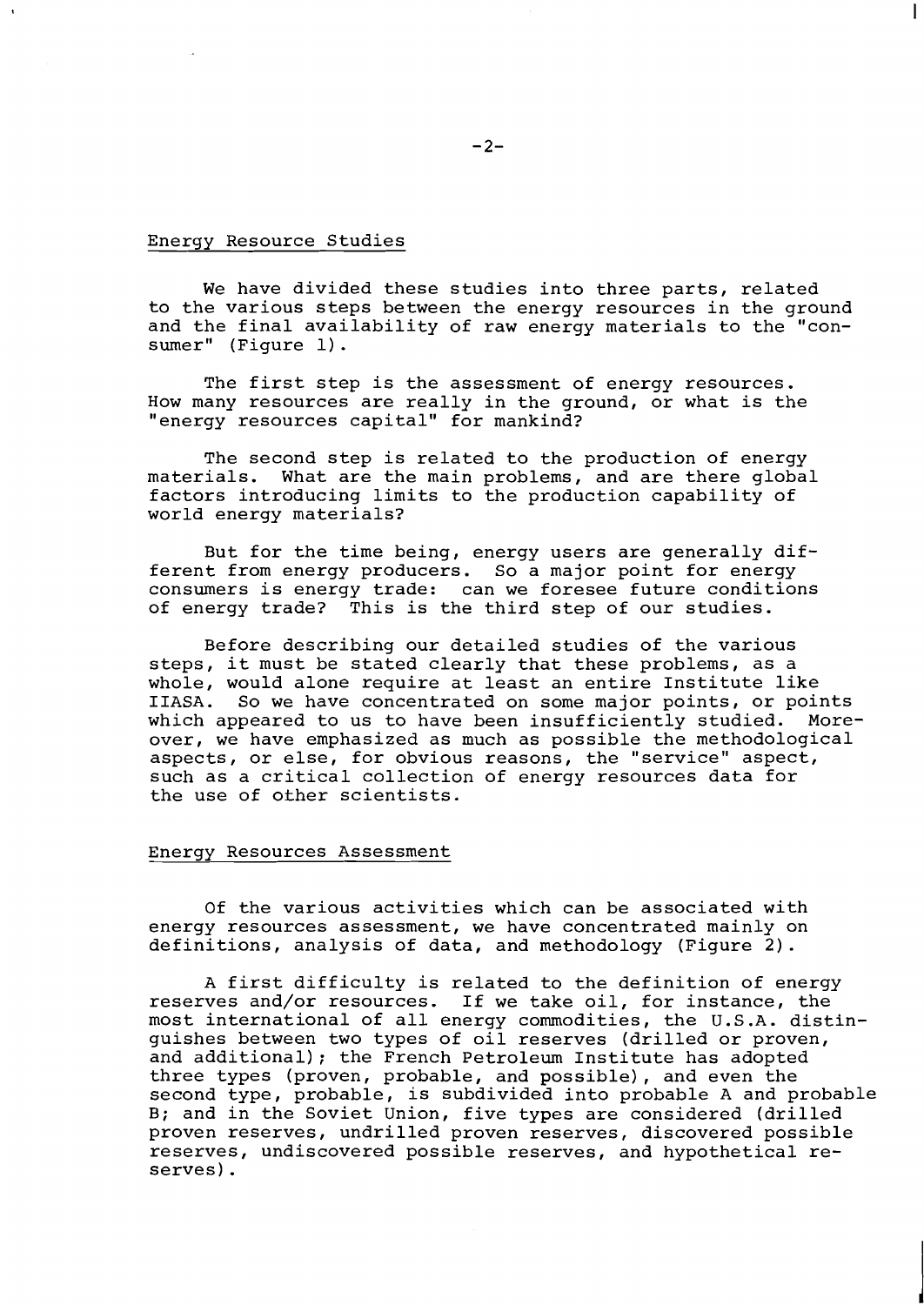### Energy Resource Studies

We have divided these studies into three parts, related to the various steps between the energy resources in the ground and the final availability of raw energy materials to the "consumer" (Figure 1).

The first step is the assessment of energy resources. How many resources are really in the ground, or what is the "energy resources capital" for mankind?

The second step is related to the production of energy materials. What are the main problems, and are there global factors introducing limits to the production capability of world energy materials?

But for the time being, energy users are generally different from energy producers. So a major point for energy consumers is energy trade: can we foresee future conditions of energy trade? This is the third step of our studies.

Before describing our detailed studies of the various steps, it must be stated clearly that these problems, as a whole, would alone require at least an entire Institute like IIASA. So we have concentrated on some major points, or points<br>which appeared to us to have been insufficiently studied. Morewhich appeared to us to have been insufficiently studied. over, we have emphasized as much as possible the methodological aspects, or else, for obvious reasons, the "service" aspect, such as a critical collection of energy resources data for the use of other scientists.

#### Energy Resources Assessment

Of the various activities which can be associated with energy resources assessment, we have concentrated mainly on definitions, analysis of data, and methodology (Figure 2).

A first difficulty is related to the definition of energy reserves and/or resources. If we take oil, for instance, the most international of all energy commodities, the U.S.A. distinguishes between two types of oil reserves (drilled or proven, and additional); the French Petroleum Institute has adopted three types (proven, probable, and possible), and even the second type, probable, is subdivided into probable A and probable B; and in the Soviet Union, five types are considered (drilled proven reserves, undrilled proven reserves, discovered possible .<br>reserves, undiscovered possible reserves, and hypothetical re-<br>serves).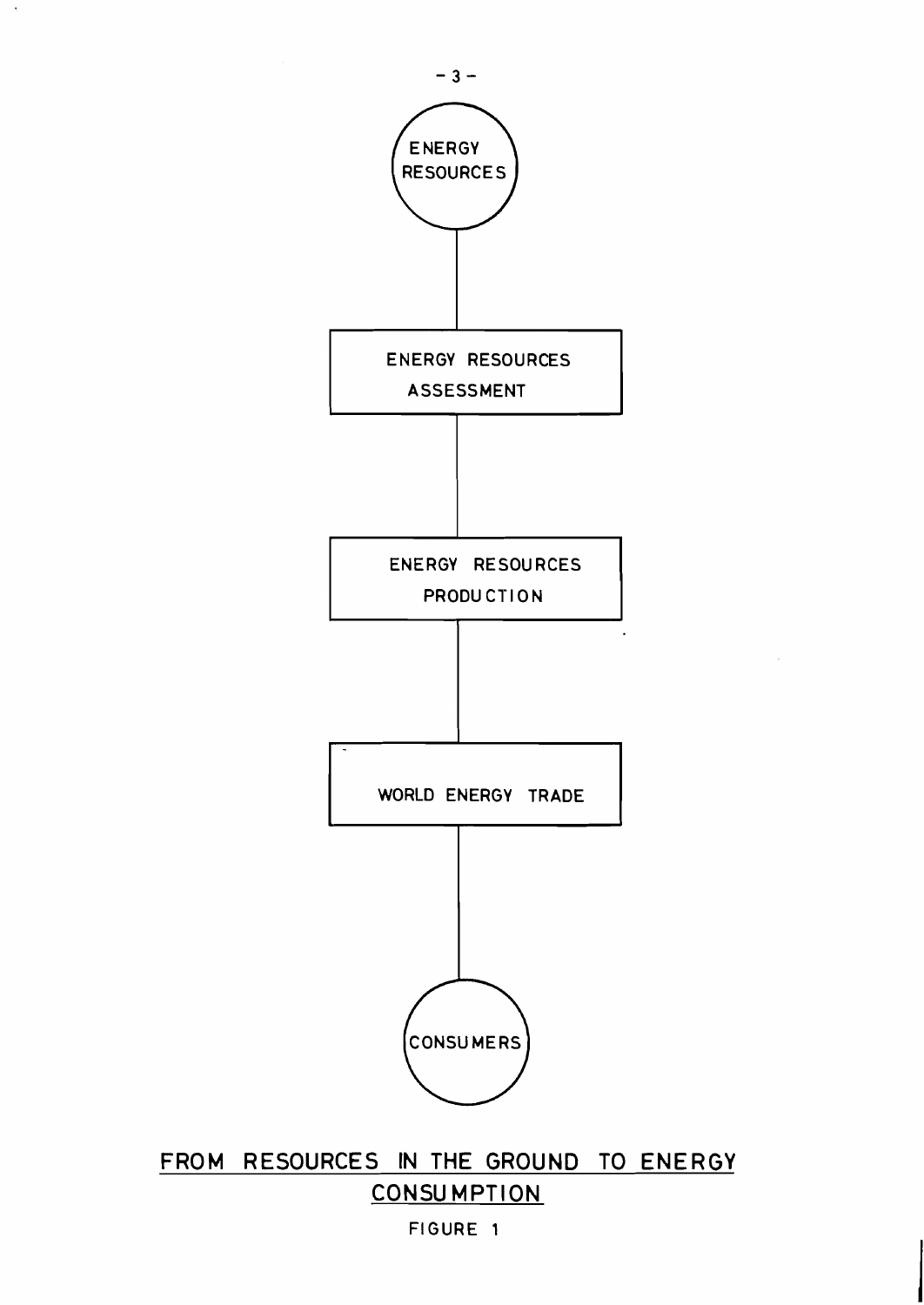

 $\bar{z}$ 

## **FROM RESOURCES IN THE GROUND TO ENERGY CONSUMPTION**

**FIGURE 1**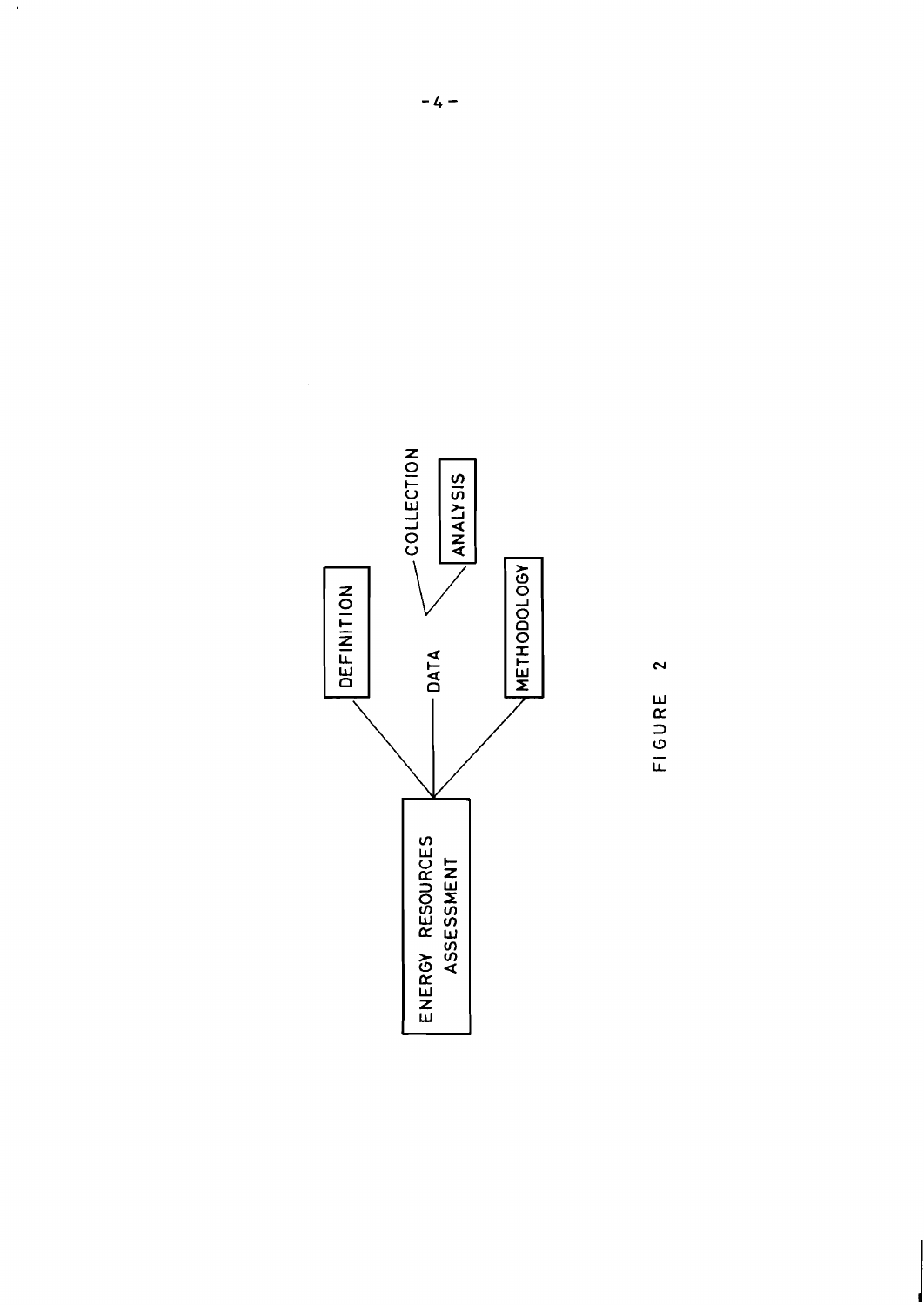



 $\ddot{\phantom{1}}$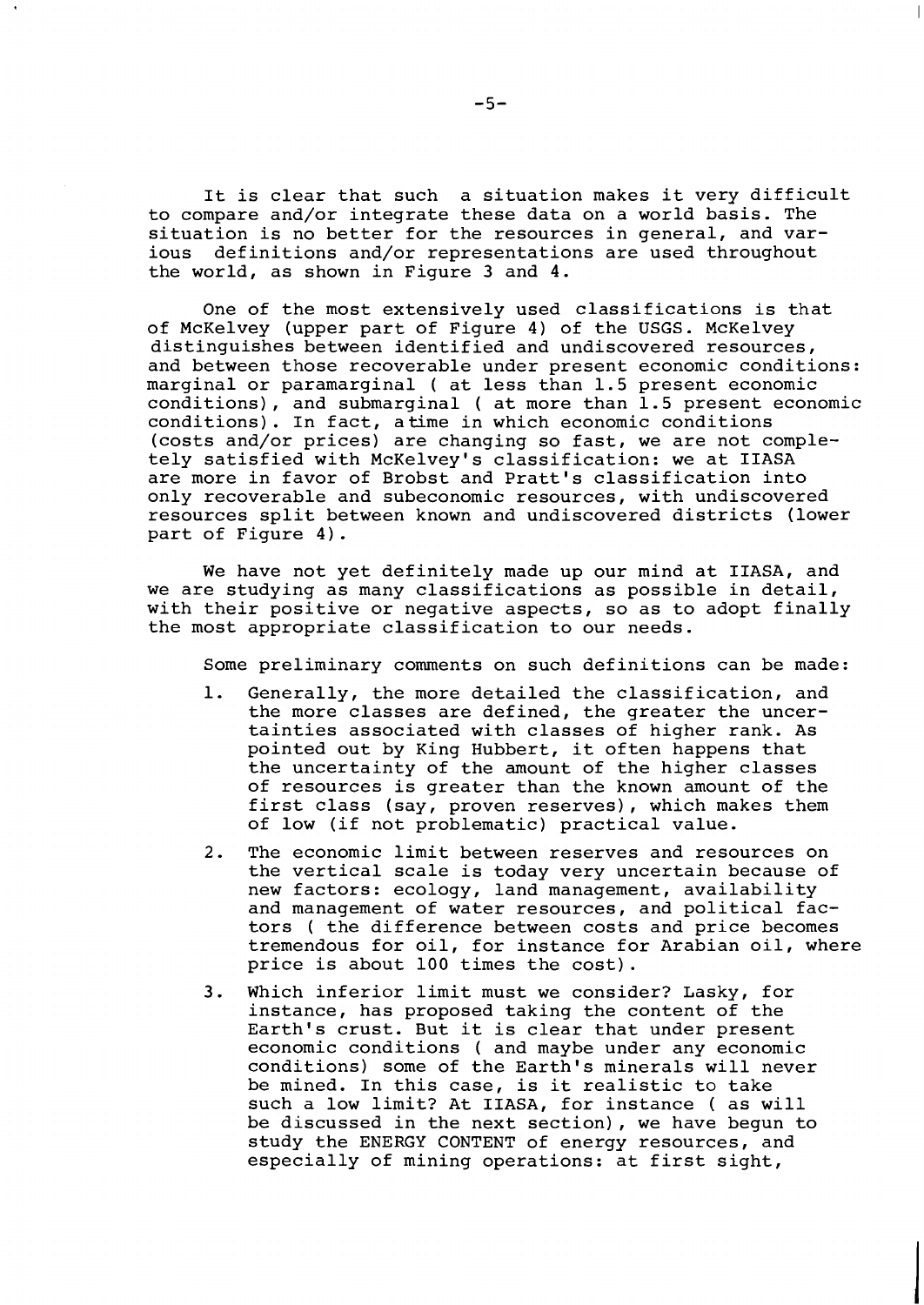It is clear that such a situation makes it very difficult to compare and/or integrate these data on a world basis. The situation is no better for the resources in general, and various definitions and/or representations are used throughout the world, as shown in Figure 3 and 4.

One of the most extensively used classifications is that of McKelvey (upper part of Figure 4) of the USGS. McKelvey distinguishes between identified and undiscovered resources, and between those recoverable under present economic conditions: marginal or paramarginal ( at less than 1.5 present economic conditions), and submarginal ( at more than 1.5 present economic conditions) . In fact, a time in which economic conditions (costs and/or prices) are changing so fast, we are not completely satisfied with McKelvey's classification: we at IIASA are more in favor of Brobst and Pratt's classification into only recoverable and subeconomic resources, with undiscovered resources split between known and undiscovered districts (lower part of Figure 4) .

We have not yet definitely made up our mind at IIASA, and we are studying as many classifications as possible in detail, with their positive or negative aspects, so as to adopt finally the most appropriate classification to our needs.

Some preliminary comments on such definitions can be made:

- 1. Generally, the more detailed the classification, and the more classes are defined, the greater the uncertainties associated with classes of higher rank. As pointed out by King Hubbert, it often happens that the uncertainty of the amount of the higher classes of resources is greater than the known amount of the first class (say, proven reserves), which makes them of low (if not problematic) practical value.
- 2. The economic limit between reserves and resources on the vertical scale is today very uncertain because of new factors: ecology, land management, availability and management of water resources, and political factors ( the difference between costs and price becomes tremendous for oil, for instance for Arabian oil, where price is about 100 times the cost).
- 3. Which inferior limit must we consider? Lasky, for instance, has proposed taking the content of the Earth's crust. But it is clear that under present economic conditions ( and maybe under any economic conditions) some of the Earth's minerals will never be mined. In this case, is it realistic to take such a low limit? At IIASA, for instance ( as will be discussed in the next section), we have begun to study the ENERGY CONTENT of energy resources, and especially of mining operations: at first sight,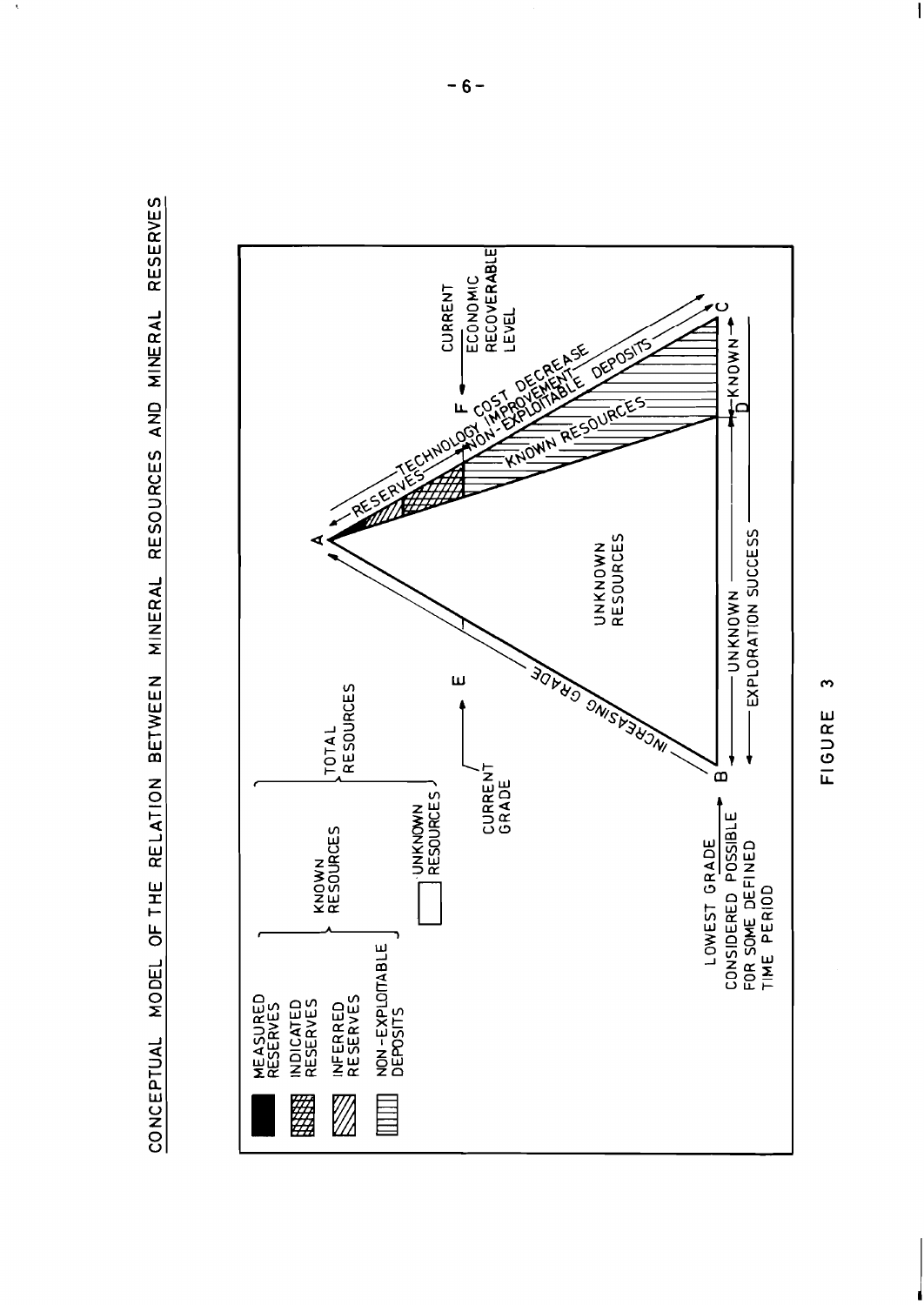CONCEPTUAL MODEL OF THE RELATION BETWEEN MINERAL RESOURCES AND MINERAL RESERVES **RESERVES** CONCEPTUAL MODEL OF THE RELATION BETWEEN MINERAL RESOURCES AND MINERAL



 $\mathbf{I}$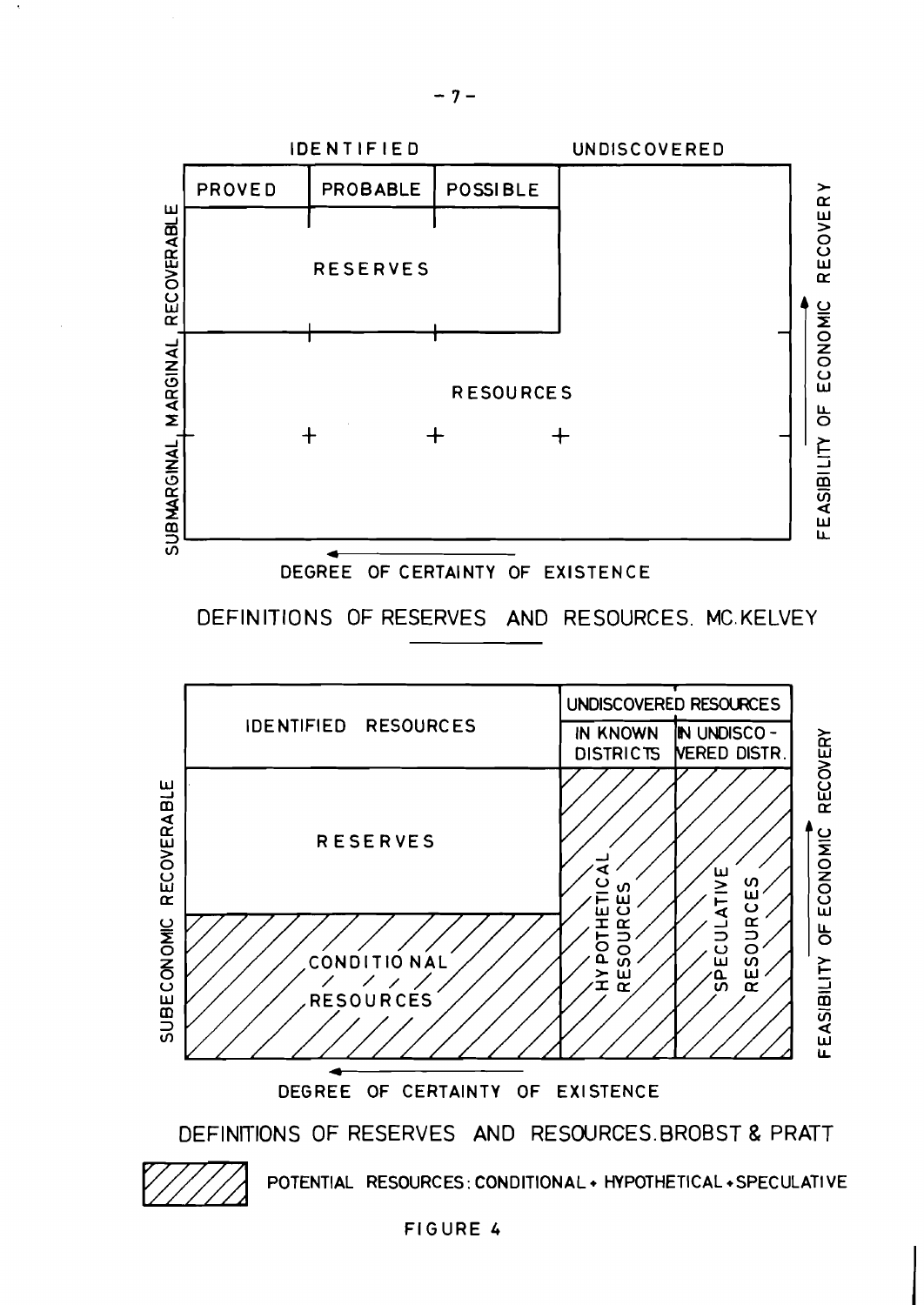

DEFINITIONS OF RESERVES AND RESOURCES. MC.KELVEY



**DEGREE OF CERTAINTY OF EXISTENCE** 

DEFINITIONS OF RESERVES AND RESOURCES. BROBST & PRATT

**POTENTIAL RESOURCES** : **CONDITIONAL** + **HYPOTHETICAL +SPECULATIVE**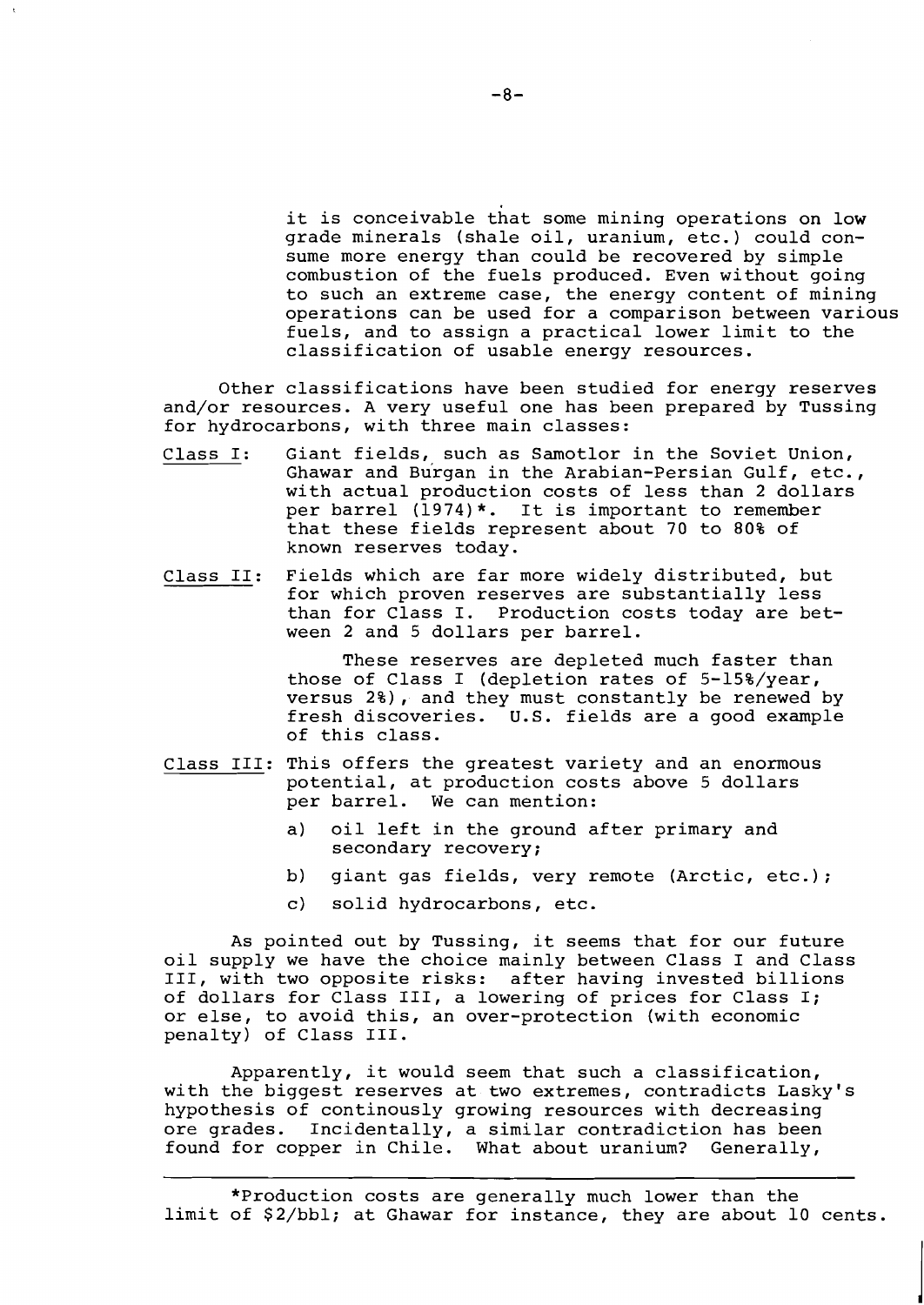it is conceivable that some mining operations on low grade minerals (shale oil, uranium, etc.) could consume more energy than could be recovered by simple combustion of the fuels produced. Even without going to such an extreme case, the energy content of mining operations can be used for a comparison between various fuels, and to assign a practical lower limit to the classification of usable energy resources.

Other classifications have been studied for energy reserves and/or resources. A very useful one has been prepared by Tussing for hydrocarbons, with three main classes:

- Class I: Giant fields, such as Samotlor in the Soviet Union, Ghawar and Burgan in the Arabian-Persian Gulf, etc., with actual production costs of less than 2 dollars per barrel (1974)\*. It is important to remember that these fields represent about 70 to 80% of known reserves today.
- Class 11: Fields which are far more widely distributed, but for which proven reserves are substantially less than for Class I. Production costs today are between 2 and 5 dollars per barrel.

These reserves are depleted much faster than those of Class I (depletion rates of 5-15%/year, versus 2%), and they must constantly be renewed by fresh discoveries. U.S. fields are a good example of this class.

- Class 111: This offers the greatest variety and an enormous potential, at production costs above 5 dollars We can mention:
	- a) oil left in the ground after primary and secondary recovery;
	- b) giant gas fields, very remote (Arctic, etc.) ;
	- C) solid hydrocarbons, etc.

As pointed out by Tussing, it seems that for our future oil supply we have the choice mainly between Class I and Class 111, with two opposite risks: after having invested billions of dollars for Class 111, a lowering of prices for Class I; or else, to avoid this, an over-protection (with economic penalty) of Class 111.

Apparently, it would seem that such a classification, with the biggest reserves at two extremes, contradicts Lasky's hypothesis of continously growing resources with decreasing ore grades. Incidentally, a similar contradiction has been found for copper in Chile. What about uranium? Generally,

\*Production costs are generally much lower than the limit of \$2/bbl; at Ghawar for instance, they are about 10 cents.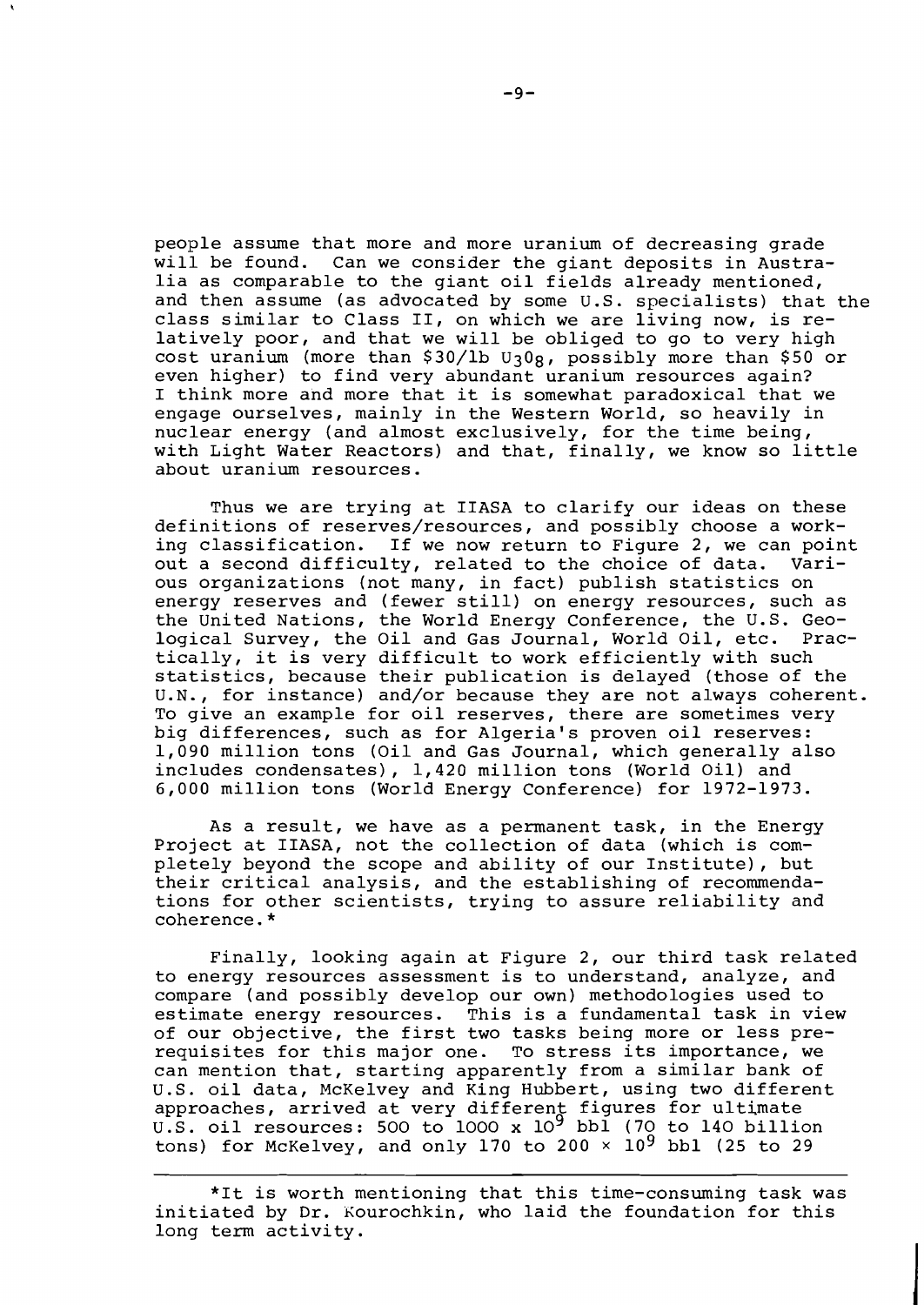people assume that more and more uranium of decreasing grade will be found. Can we consider the giant deposits in Australia as comparable to the giant oil fields already mentioned, and then assume (as advocated by some U.S. specialists) that the class similar to Class 11, on which we are living now, is relatively poor, and that we will be obliged to go to very high cost uranium (more than \$30/lb U3O8, possibly more than \$50 or even higher) to find very abundant uranium resources again? I think more and more that it is somewhat paradoxical that we engage ourselves, mainly in the Western World, so heavily in nuclear energy (and almost exclusively, for the time being, with Light Water Reactors) and that, finally, we know so little about uranium resources.

Thus we are trying at IIASA to clarify our ideas on these definitions of reserves/resources, and possibly choose a working classification. If we now return to Figure 2, we can point out a second difficulty, related to the choice of data. Various organizations (not many, in fact) publish statistics on energy reserves and (fewer still) on energy resources, such as the United Nations, the World Energy Conference, the U.S. Geo-<br>logical Survey, the Oil and Gas Journal, World Oil, etc. Praclogical Survey, the Oil and Gas Journal, World Oil, etc. tically, it is very difficult to work efficiently with such statistics, because their publication is delayed (those of the U.N., for instance) and/or because they are not always coherent. To give an example for oil reserves, there are sometimes very big differences, such as for Algeria's proven oil reserves: 1,090 million tons (Oil and Gas Journal, which generally also includes condensates), 1,420 million tons (World Oil) and 6,000 million tons (World Energy Conference) for 1972-1973.

As a result, we have as a permanent task, in the Energy Project at IIASA, not the collection of data (which is completely beyond the scope and ability of our Institute), but their critical analysis, and the establishing of recommendations for other scientists, trying to assure reliability and coherence.\*

Finally, looking again at Figure 2, our third task related to energy resources assessment is to understand, analyze, and compare (and possibly develop our own) methodologies used to estimate energy resources. This is a fundamental task in view of our objective, the first two tasks being more or less prerequisites for this major one. To stress its importance, we can mention that, starting apparently from a similar bank of U.S. oil data, McKelvey and King Hubbert, using two different approaches, arrived at very different figures for ultimate U.S. oil resources: 500 to 1000 x  $10^9$  bbl (70 to 140 billion tons) for McKelvey, and only 170 to 200  $\times$  10<sup>9</sup> bbl (25 to 29

\*It is worth mentioning that this time-consuming task was initiated by Dr. Kourochkin, who laid the foundation for this long term activity.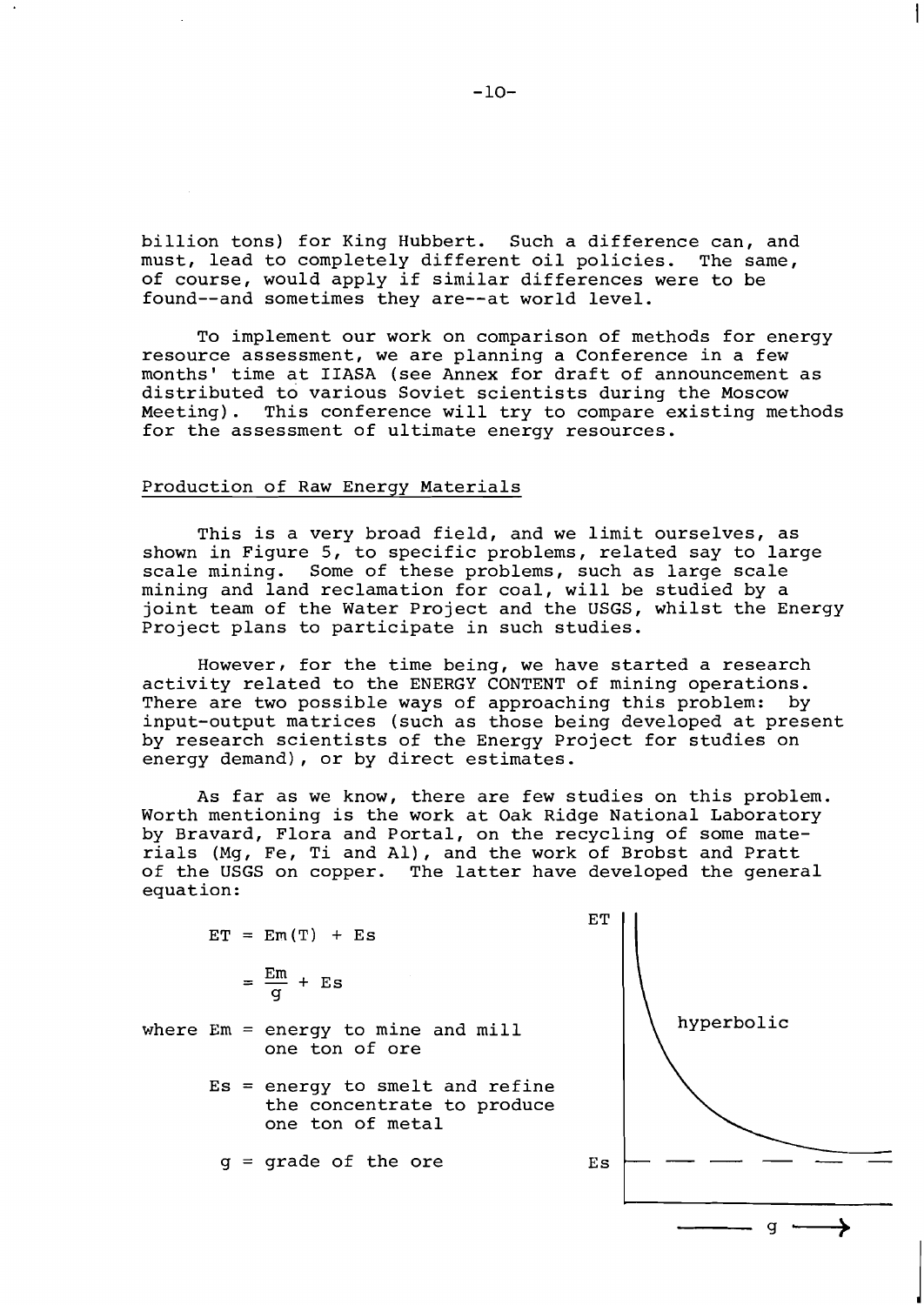billion tons) for King Hubbert. Such a difference can, and must, lead to completely different oil policies. The same, of course, would apply if similar differences were to be found--and sometimes they are--at world level.

To implement our work on comparison of methods for energy resource assessment, we are planning a Conference in a few months' time at IIASA (see Annex for draft of announcement as distributed to various Soviet scientists during the Moscow Meeting). This conference will try to compare existing methods for the assessment of ultimate energy resources.

### Production of Raw Energy Materials

This is a very broad field, and we limit ourselves, as shown in Figure 5, to specific problems, related say to large scale mining. Some of these problems, such as large scale mining and land reclamation for coal, will be studied by a joint team of the Water Project and the USGS, whilst the Energy Project plans to participate in such studies.

However, for the time being, we have started a research activity related to the ENERGY CONTENT of mining operations. There are two possible ways of approaching this problem: by input-output matrices (such as those being developed at present by research scientists of the Energy Project for studies on energy demand), or by direct estimates.

As far as we know, there are few studies on this problem. Worth mentioning is the work at Oak Ridge National Laboratory by Bravard, Flora and Portal, on the recycling of some materials (Mg, Fe, Ti and Al), and the work of Brobst and Pratt of the USGS on copper. The latter have developed the general equation:

 $ET = Em(T) + ES$ 

$$
= \frac{Em}{q} + ES
$$

- where  $Em = energy to mine and mill$ one ton of ore
	- Es = energy to smelt and refine the concentrate to produce one ton of metal

g = grade of the ore Es

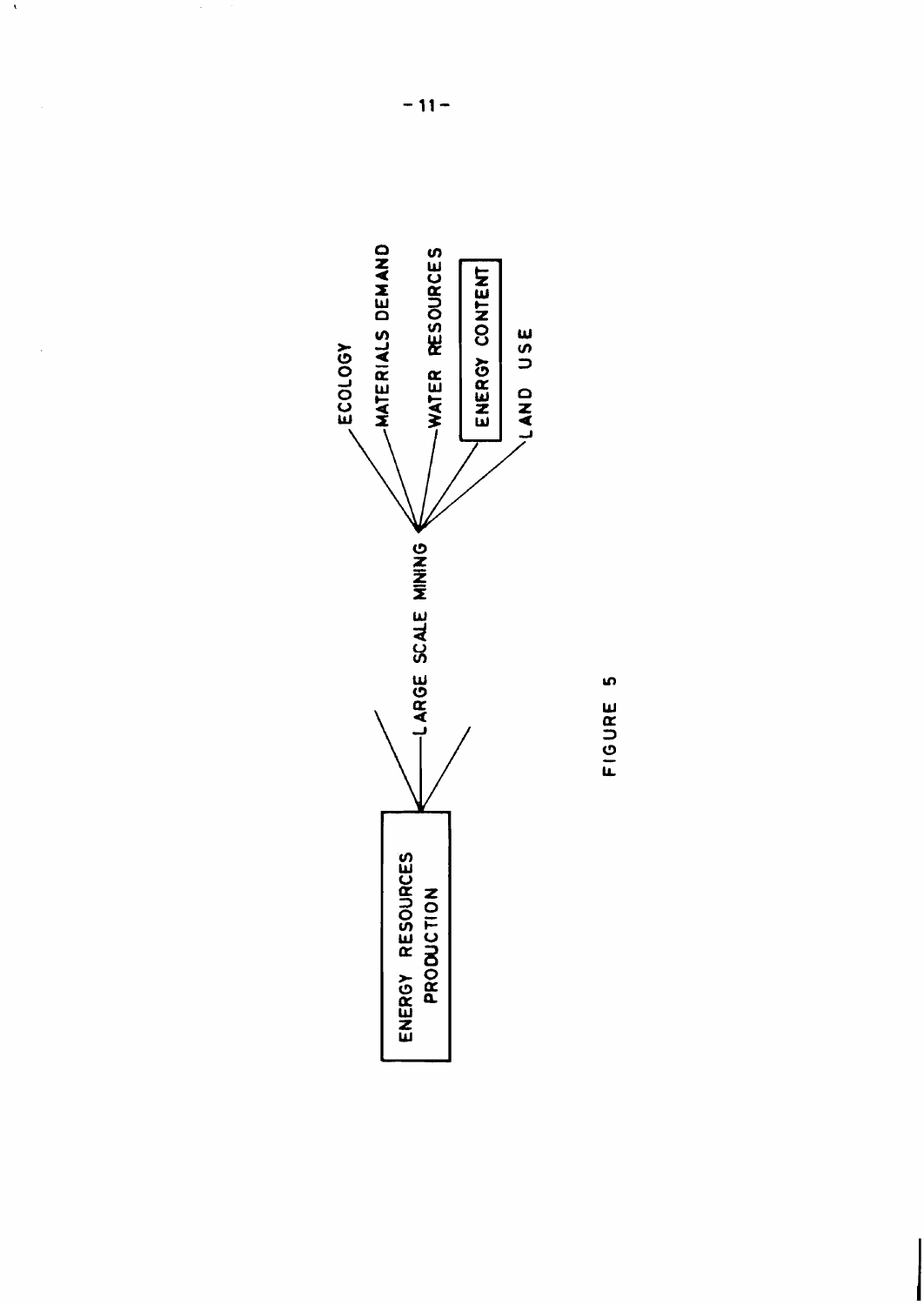



 $\tilde{\mathcal{E}}$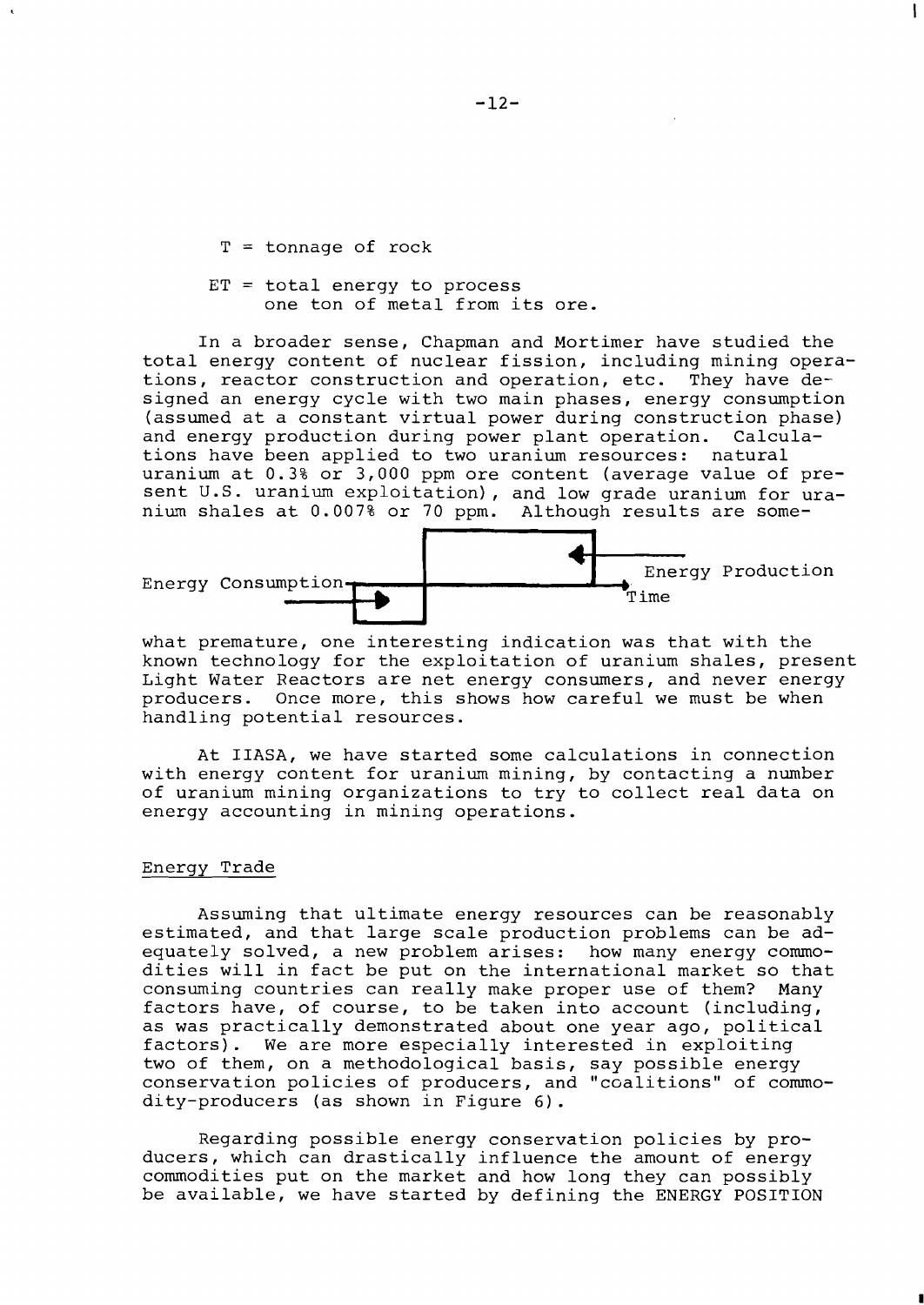$T = tonnage of rock$ 

 $ET = total energy to process$ one ton of metal from its ore.

In a broader sense, Chapman and Mortimer have studied the total energy content of nuclear fission, including mining operations, reactor construction and operation, etc. They have designed an energy cycle with two main phases, energy consumption (assumed at a constant virtual power during construction phase) and energy production during power plant operation. Calculations have been applied to two uranium resources: natural uranium at 0.3% or 3,000 ppm ore content (average value of present U.S. uranium exploitation), and low grade uranium for uranium shales at 0.007% or 70 ppm. Although results are some-T = tonnage of rock<br>
ET = total energy to process<br>
one ton of metal from its ore.<br>
In a broader sense, Chapman and Mortimer have studied the<br>
total energy content of nuclear fission, including mining opera-<br>
tions, reacto



what premature, one interesting indication was that with the known technology for the exploitation of uranium shales, present Light Water Reactors are net energy consumers, and never energy producers. Once more, this shows how careful we must be when handling potential resources.

At IIASA, we have started some calculations in connection with energy content for uranium mining, by contacting a number of uranium mining organizations to try to collect real data on energy accounting in mining operations.

### Energy Trade

Assuming that ultimate energy resources can be reasonably estimated, and that large scale production problems can be adequately solved, a new problem arises: how many energy commodities will in fact be put on the international market so that consuming countries can really make proper use of them? Many factors have, of course, to be taken into account (including, as was practically demonstrated about one year ago, political factors). We are more especially interested in exploiting two of them, on a methodological basis, say possible energy conservation policies of producers, and "coalitions" of commodity-producers (as shown in Figure *6).* 

Regarding possible energy conservation policies by producers, which can drastically influence the amount of energy commodities put on the market and how long they can possibly be available, we have started by defining the ENERGY POSITION  $\mathbf{I}$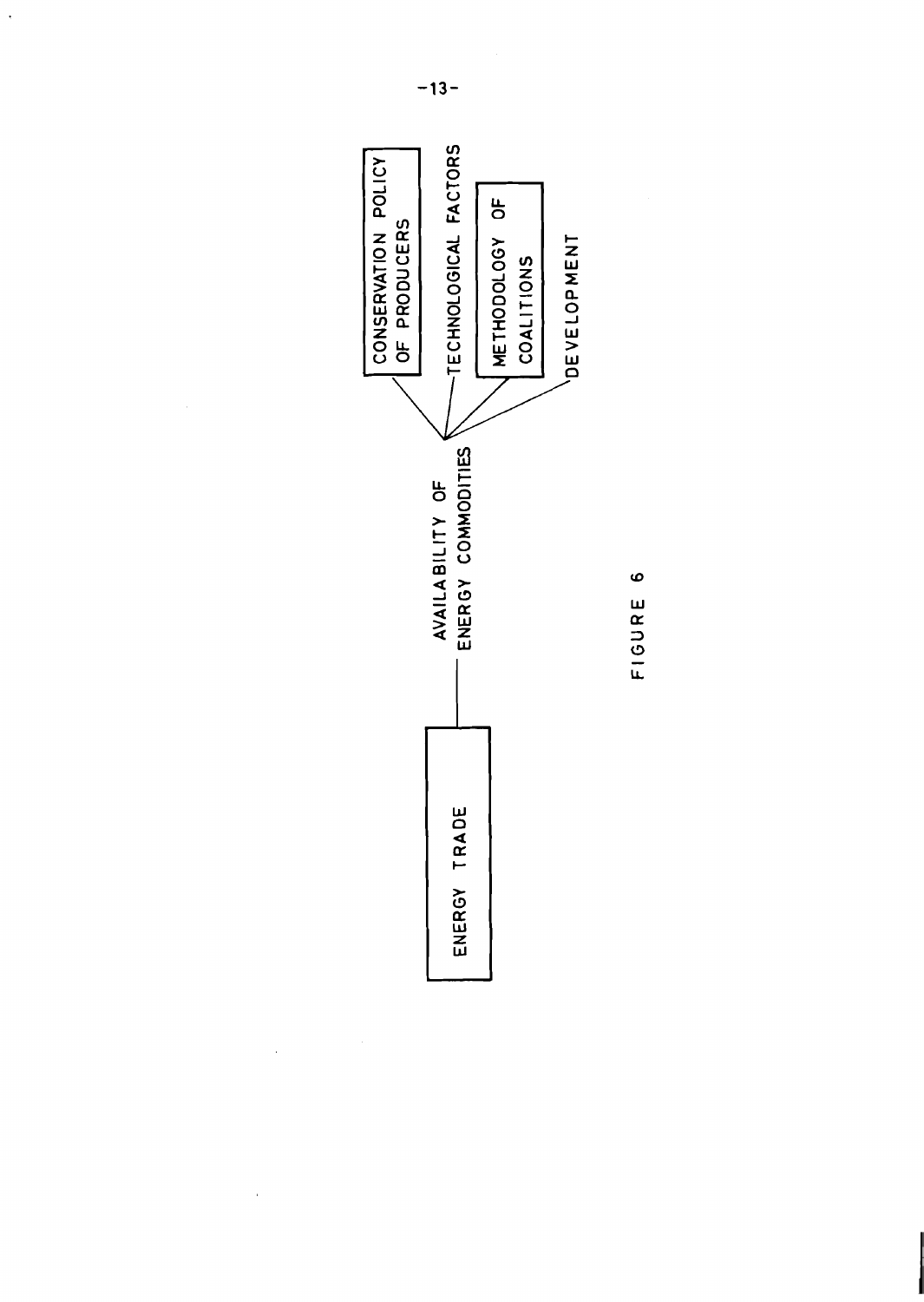

**FIGURE 6** 

 $\ddot{\phantom{0}}$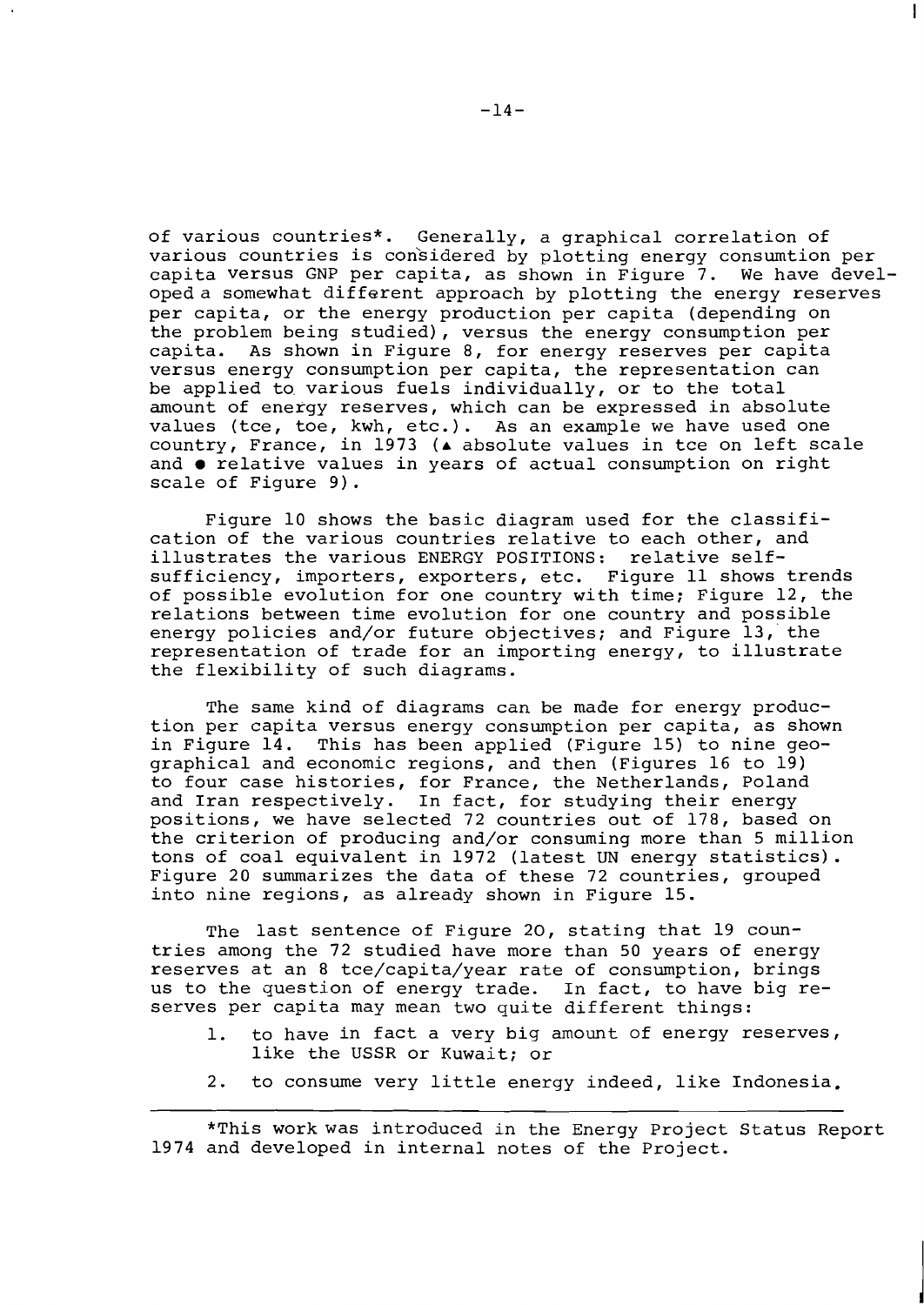of various countries\*. Generally, a graphical correlation of various countries is con'sidered by plotting energy consumtion per capita versus GNP per capita, as shown in Figure 7. We have developeda somewhat different approach by plotting the energy reserves per capita, or the energy production per capita (depending on the problem being studied), versus the energy consumption per capita. As shown in Figure 8, for energy reserves per capita versus energy consumption per capita, the representation can be applied to various fuels individually, or to the total amount of energy reserves, which can be expressed in absolute values (tce, toe, kwh, etc.). As an example we have used one country, France, in 1973 (A absolute values in tce on left scale and **a** relative values in years of actual consumption on right scale of Figure 9).

Figure 10 shows the basic diagram used for the classification of the various countries relative to each other, and illustrates the various ENERGY POSITIONS: relative selfsufficiency, importers, exporters, etc. Figure 11 shows trends of possible evolution for one country with time; Figure 12, the relations between time evolution for one country and possible energy policies and/or future objectives; and Figure 13, the representation of trade for an importing energy, to illustrate the flexibility of such diagrams.

The same kind of diagrams can be made for energy production per capita versus energy consumption per capita, as shown in Figure 14. This has been applied (Figure 15) to nine geographical and economic regions, and then (Figures 16 to 19) to four case histories, for France, the Netherlands, Poland and Iran respectively. In fact, for studying their energy positions, we have selected 72 countries out of 178, based on the criterion of producing and/or consuming more than 5 million tons of coal equivalent in 1972 (latest UN energy statistics). Figure 20 summarizes the data of these 72 countries, grouped into nine regions, as already shown in Figure 15.

The last sentence of Figure 20, stating that 19 countries among the 72 studied have more than 50 years of energy reserves at an 8 tce/capita/year rate of consumption, brings us to the question of energy trade. In fact, to have big reserves per capita may mean two quite different things:

- 1. to have in fact a very big amount of energy reserves, like the USSR or Kuwait; or - - -
- 2. to consume very little energy indeed, like Indonesia,

\*This workwas introduced in the Energy Project Status Report 1974 and developed in internal notes of the Project.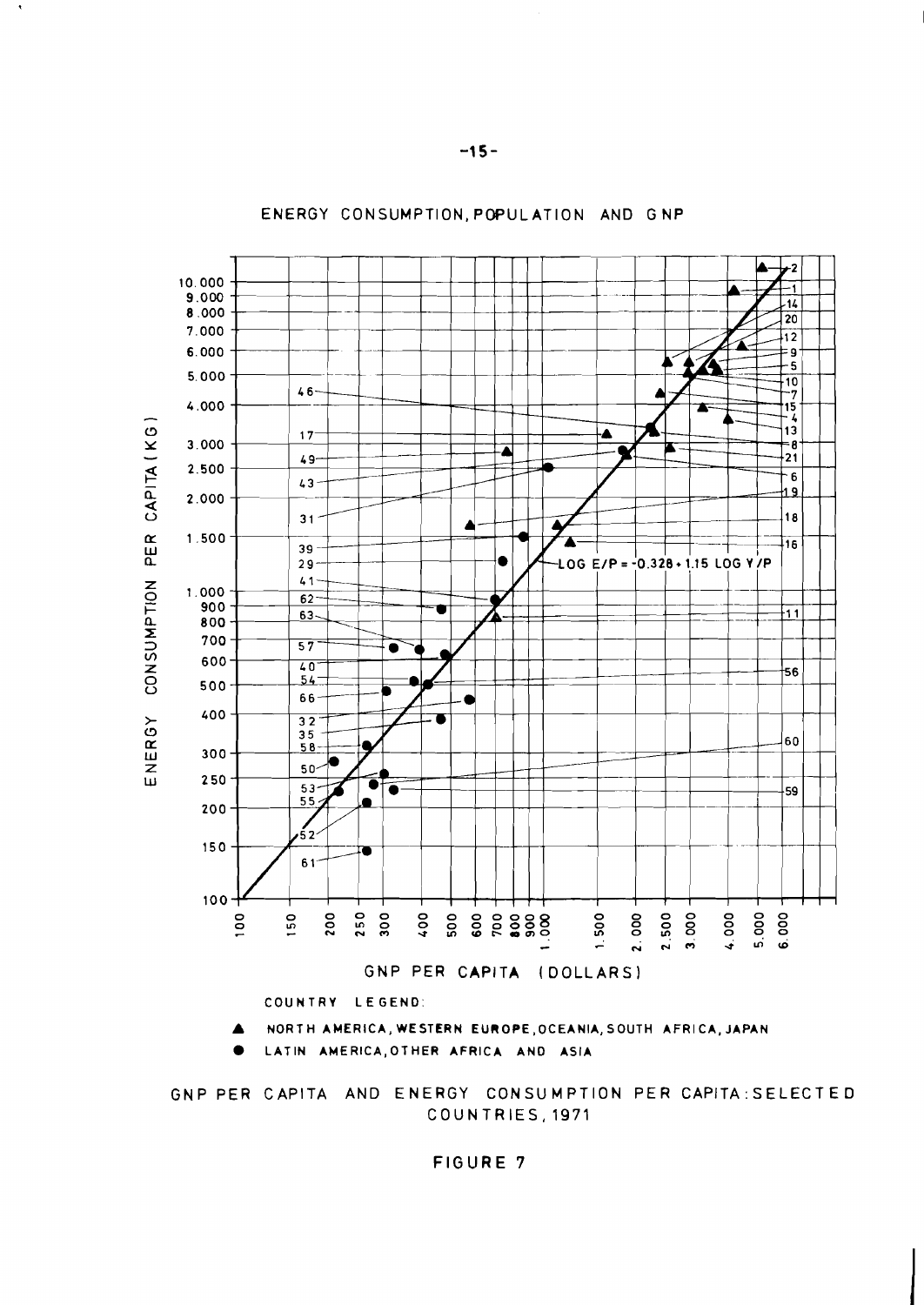

ENERGY CONSUMPTION, POPULATION AND G NP

**LATIN AMERICA,OTHER AFRICA AND ASIA** 

GNP PER CAPITA AND ENERGY CONSUMPTION PER CAP1TA:SELECTED COUNTRIES, 1971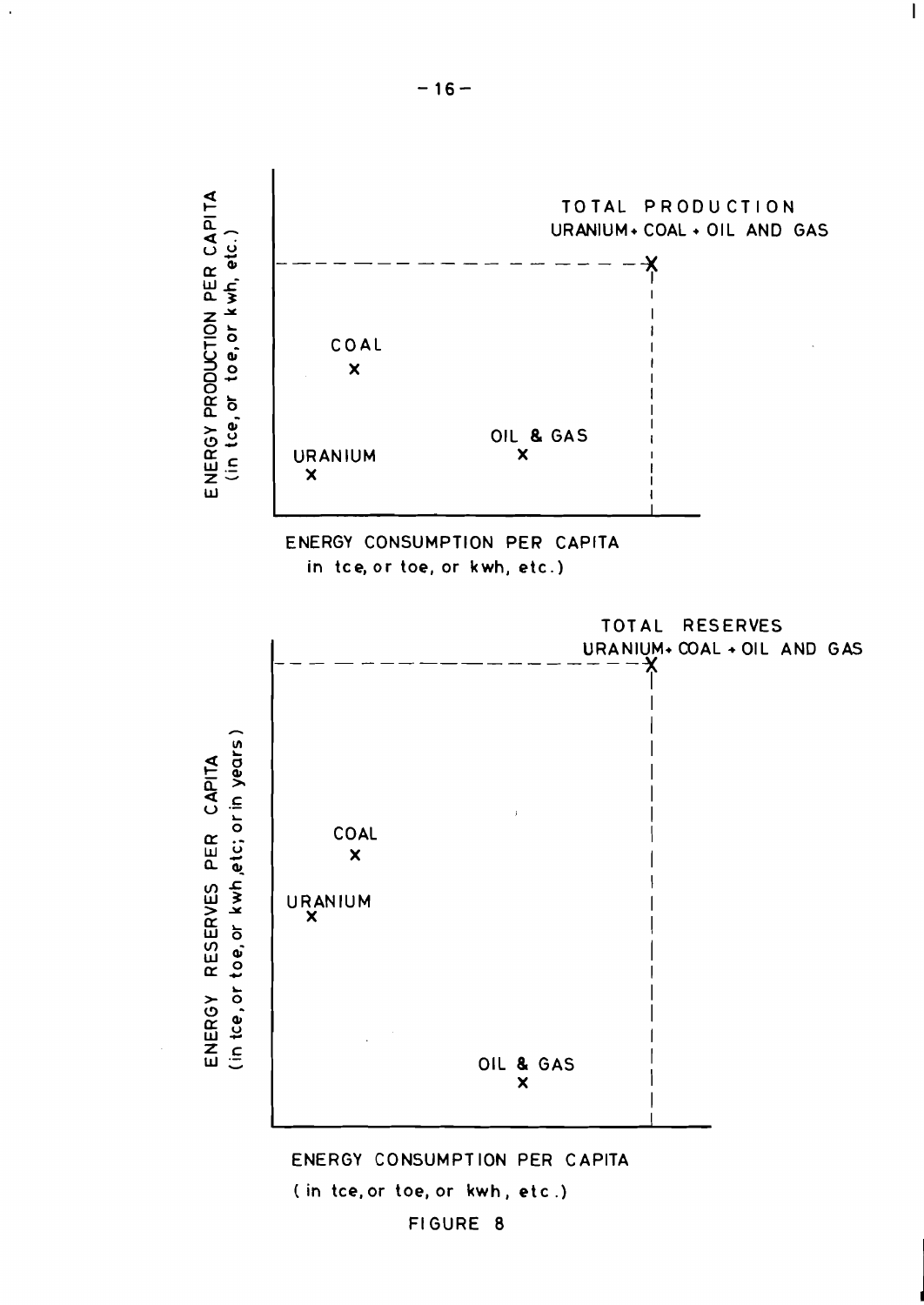

(in tce, or toe, or kwh, etc.)

FIGURE 8

 $\overline{1}$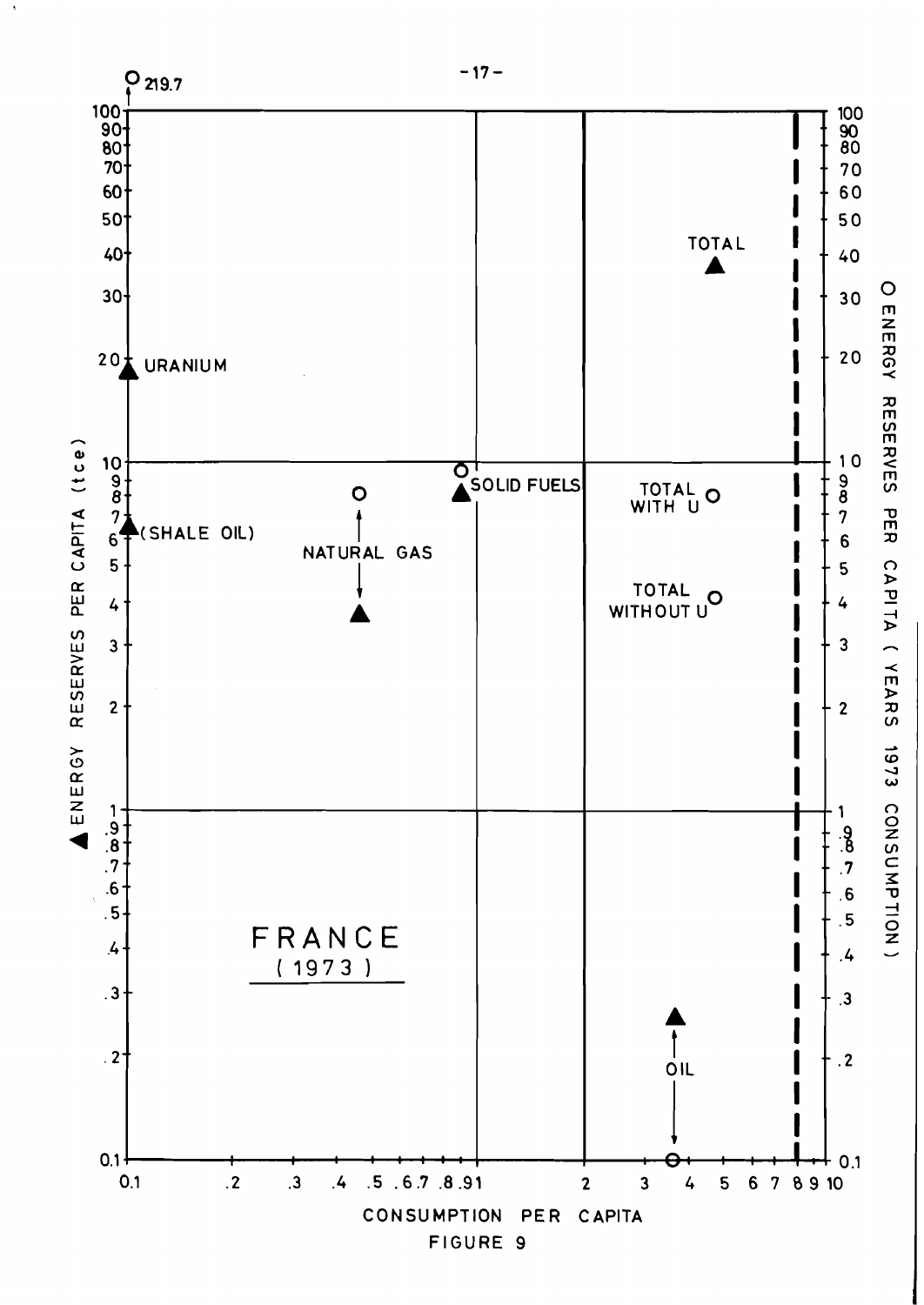

 $-17-$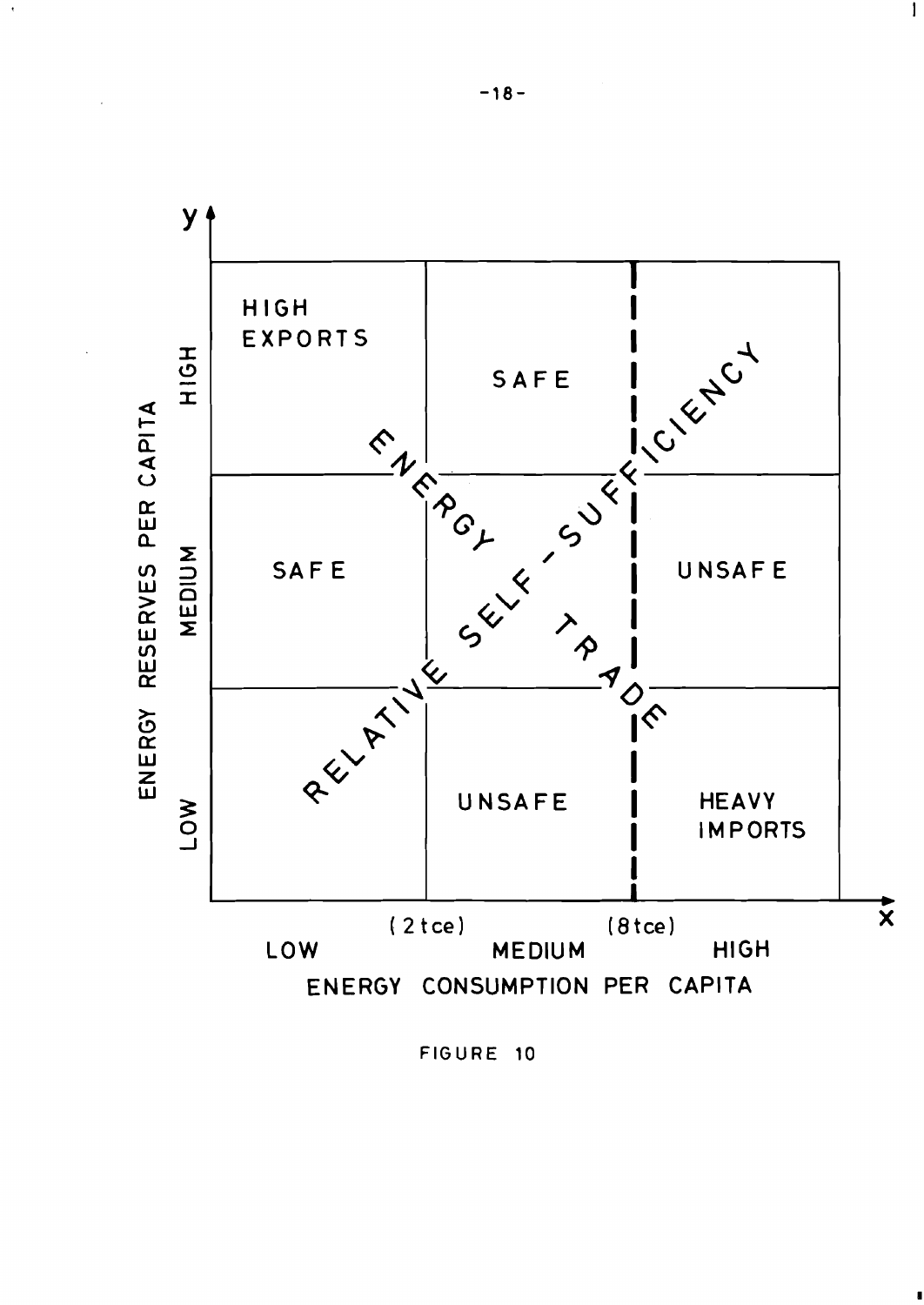

FIGURE 10

 $\mathbf{I}$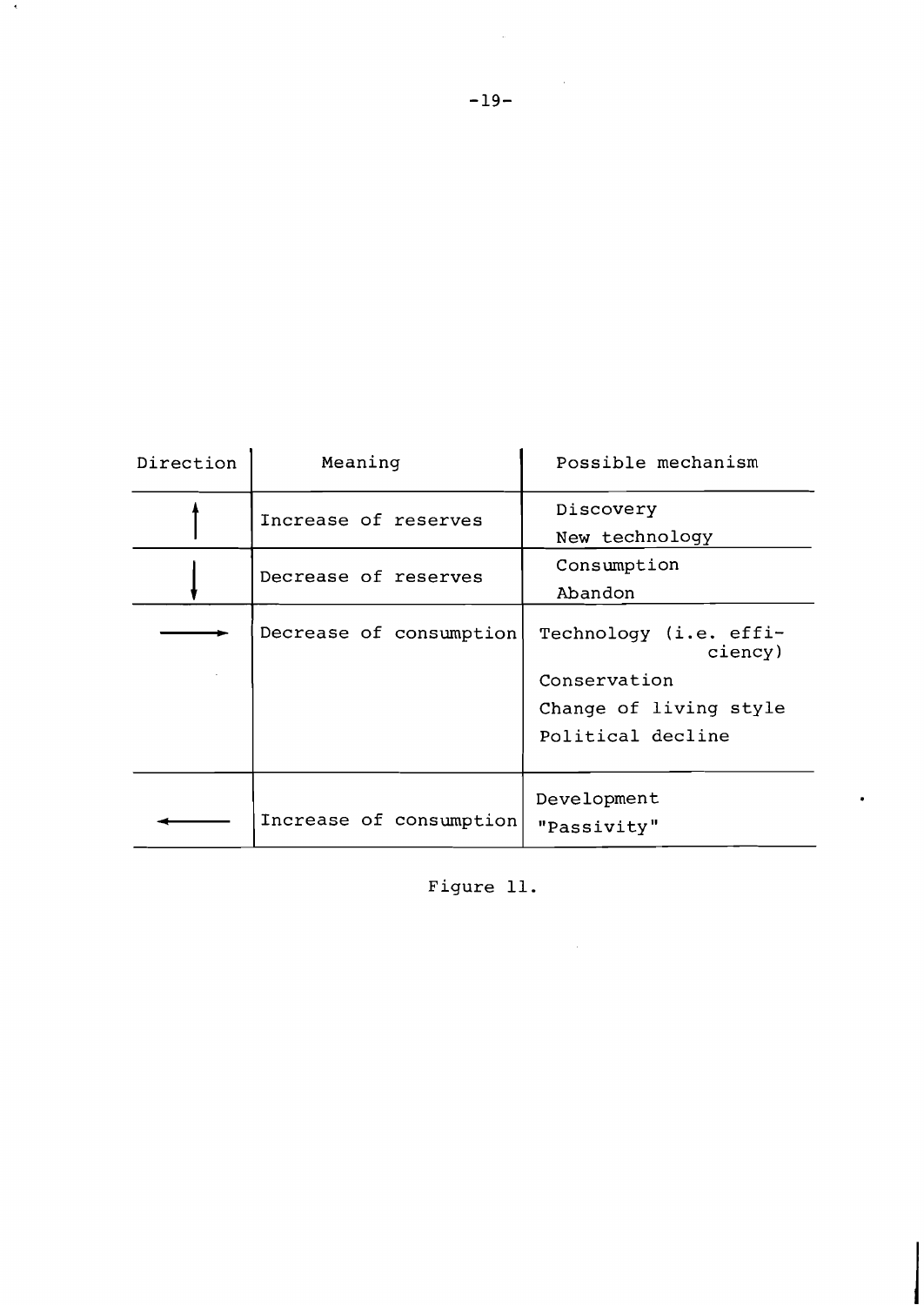| Direction | Meaning                 | Possible mechanism                       |  |  |
|-----------|-------------------------|------------------------------------------|--|--|
|           | Increase of reserves    | Discovery                                |  |  |
|           | Decrease of reserves    | New technology<br>Consumption<br>Abandon |  |  |
|           | Decrease of consumption | Technology (i.e. effi-<br>ciency)        |  |  |
|           |                         | Conservation                             |  |  |
|           |                         | Change of living style                   |  |  |
|           |                         | Political decline                        |  |  |
|           | Increase of consumption | Development<br>"Passivity"               |  |  |
|           |                         |                                          |  |  |

Figure 11.

 $\bar{z}$ 

 $\sim$   $\epsilon$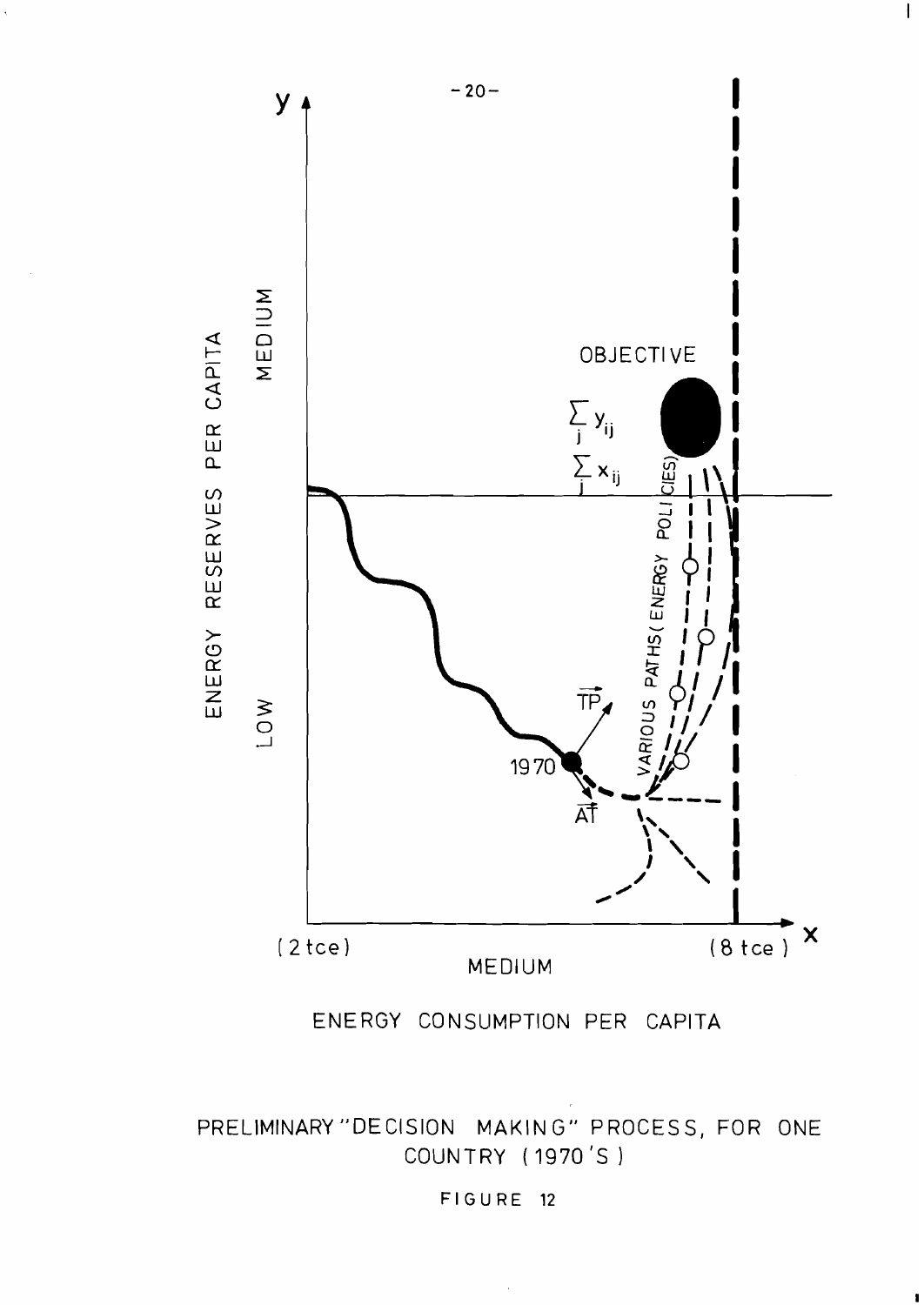

 $\mathbf{I}$ 

ENERGY CONSLIMPTION PER CAPITA

PRELIMINARY "DECISION MAKIN G" PROCESS, FOR ONE COUNTRY (1970's

FIGURE 12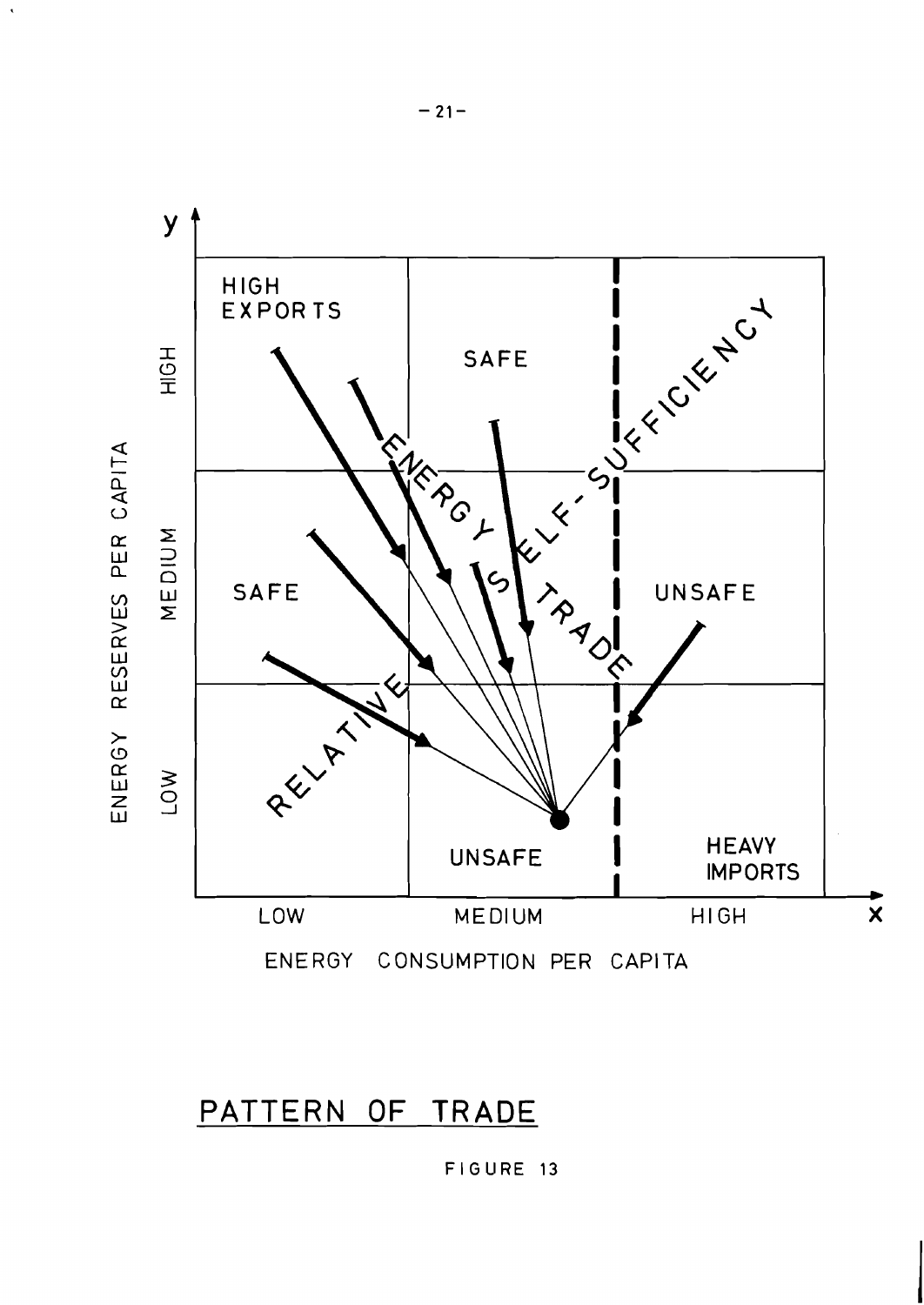

PATTERN OF TRADE

FIGURE 13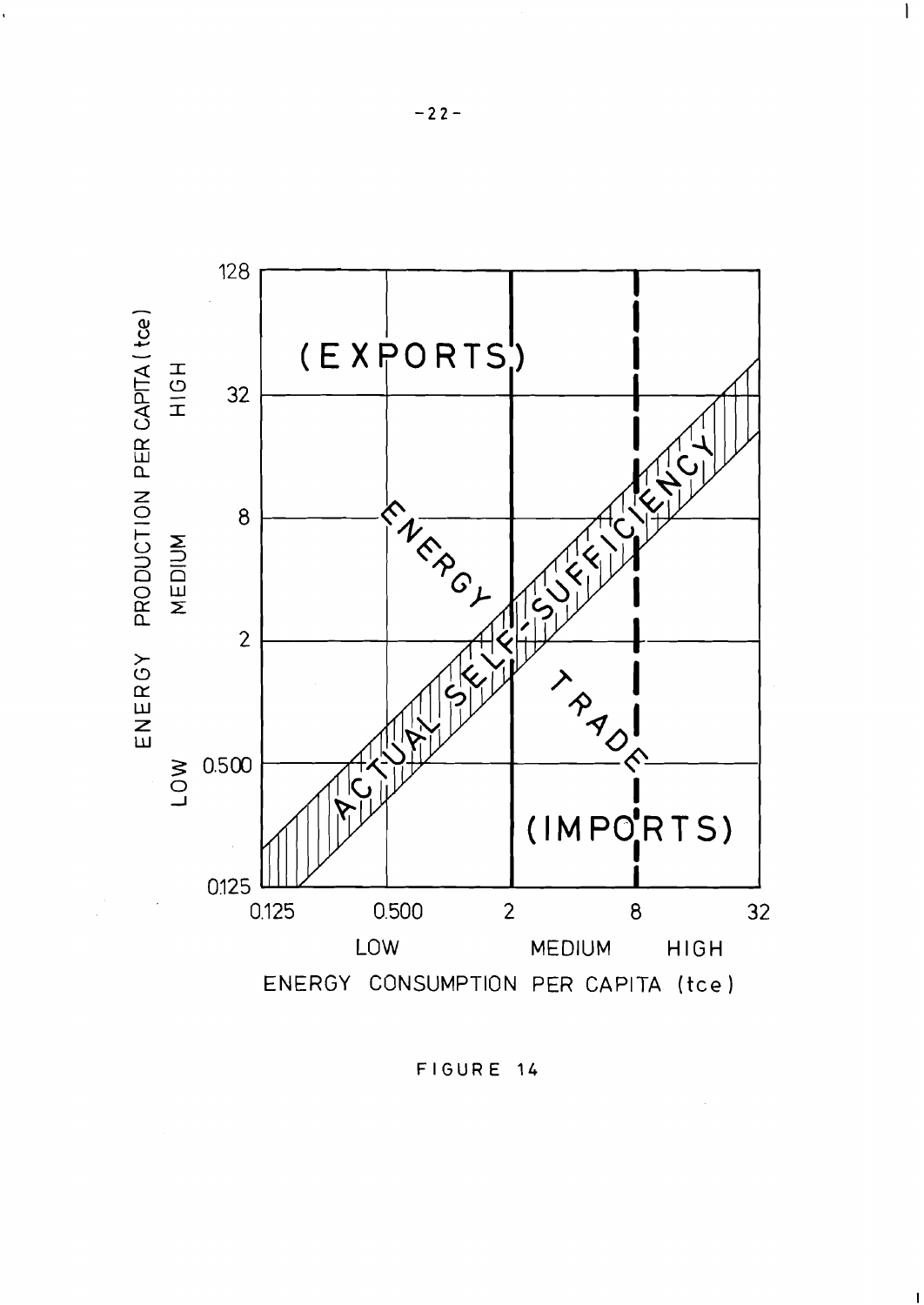

FIGURE 14

 $-22-$ 

 $\mathbf{I}$ 

 $\mathbf{1}$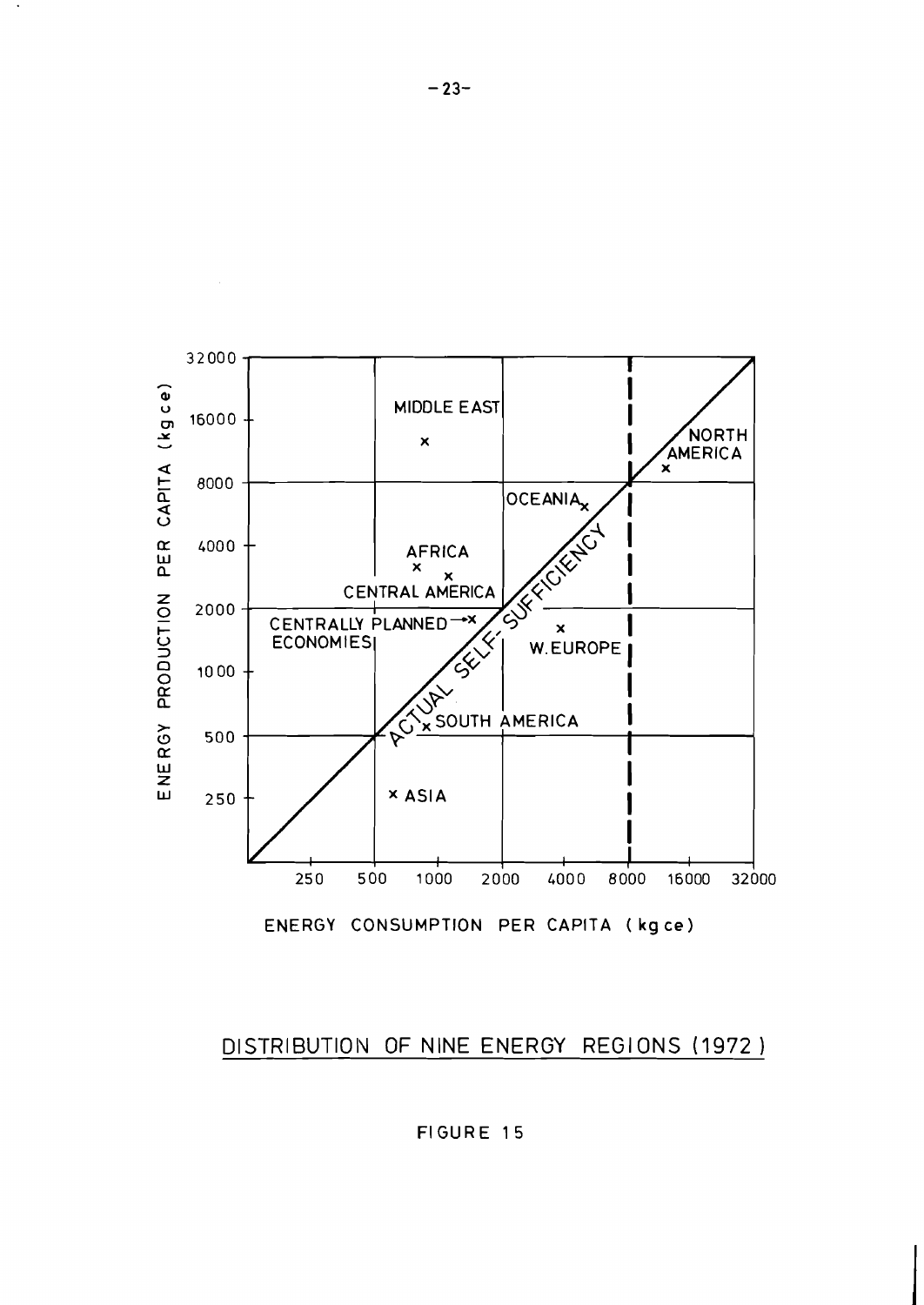

### DISTRIBUTION OF NINE ENERGY REGIONS (1972)



ENERGY CONSUMPTION PER CAPITA (kgce)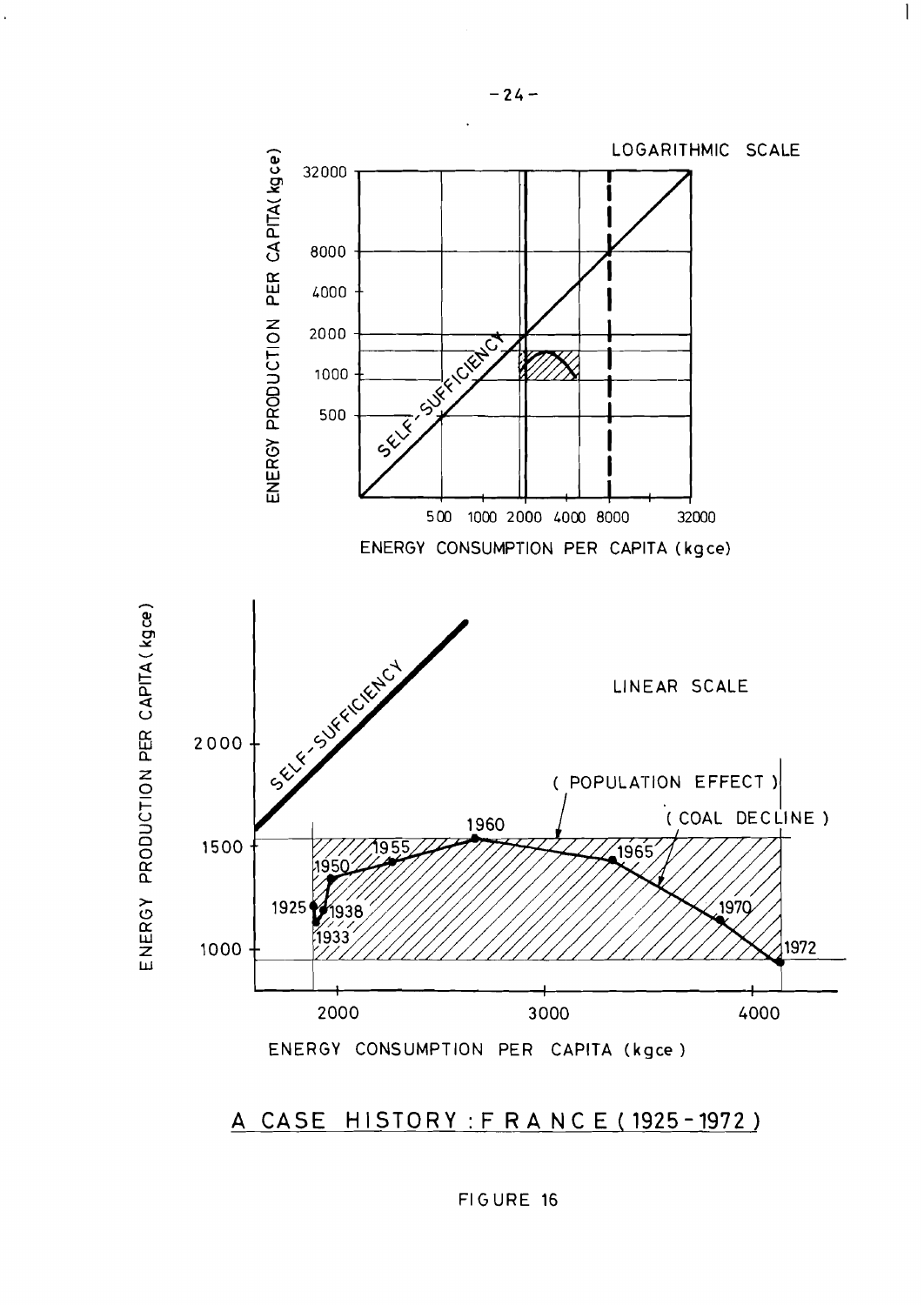

A CASE HISTORY :FRANCE(1925-1972)

 $\mathbf{I}$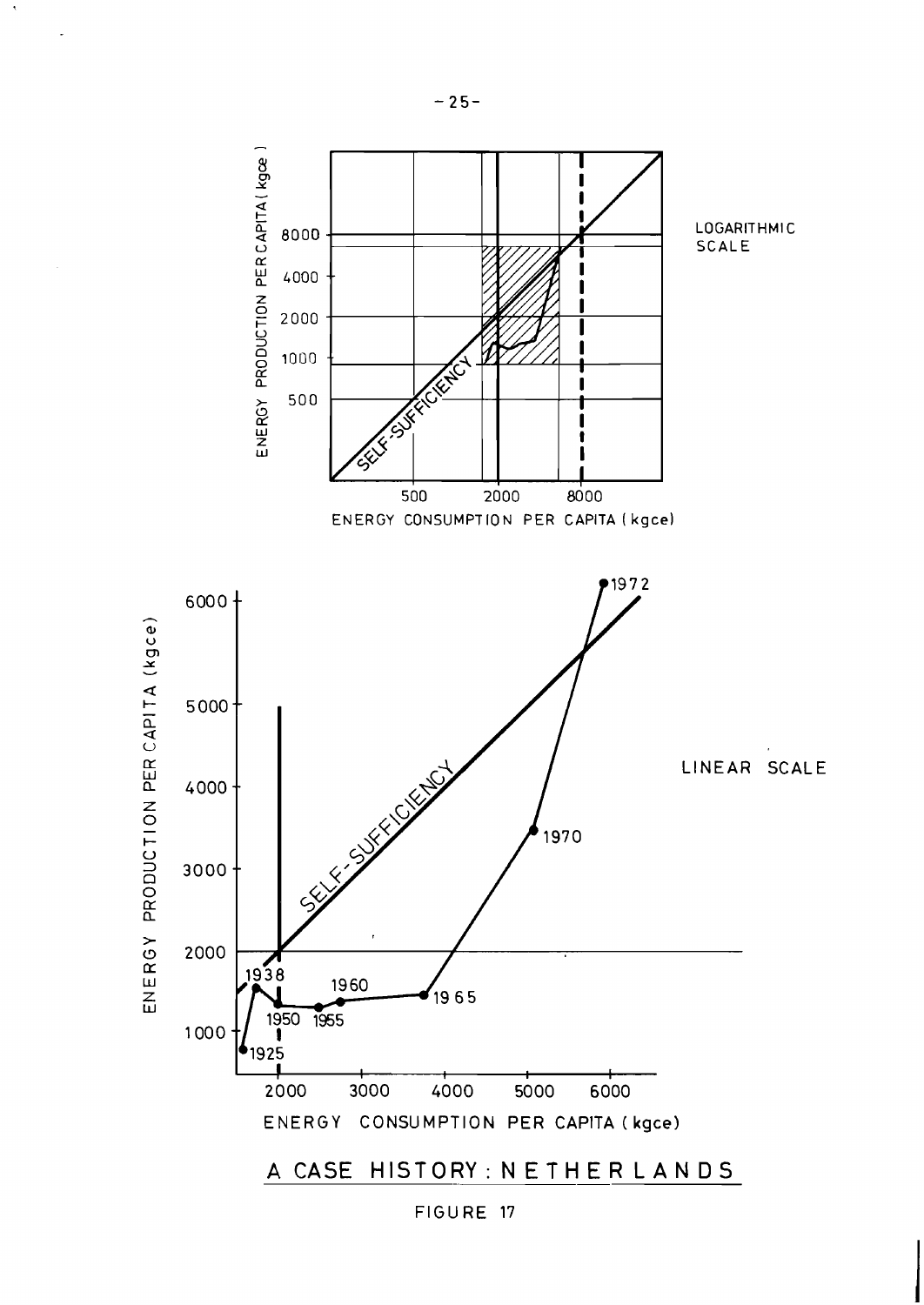

 $-25-$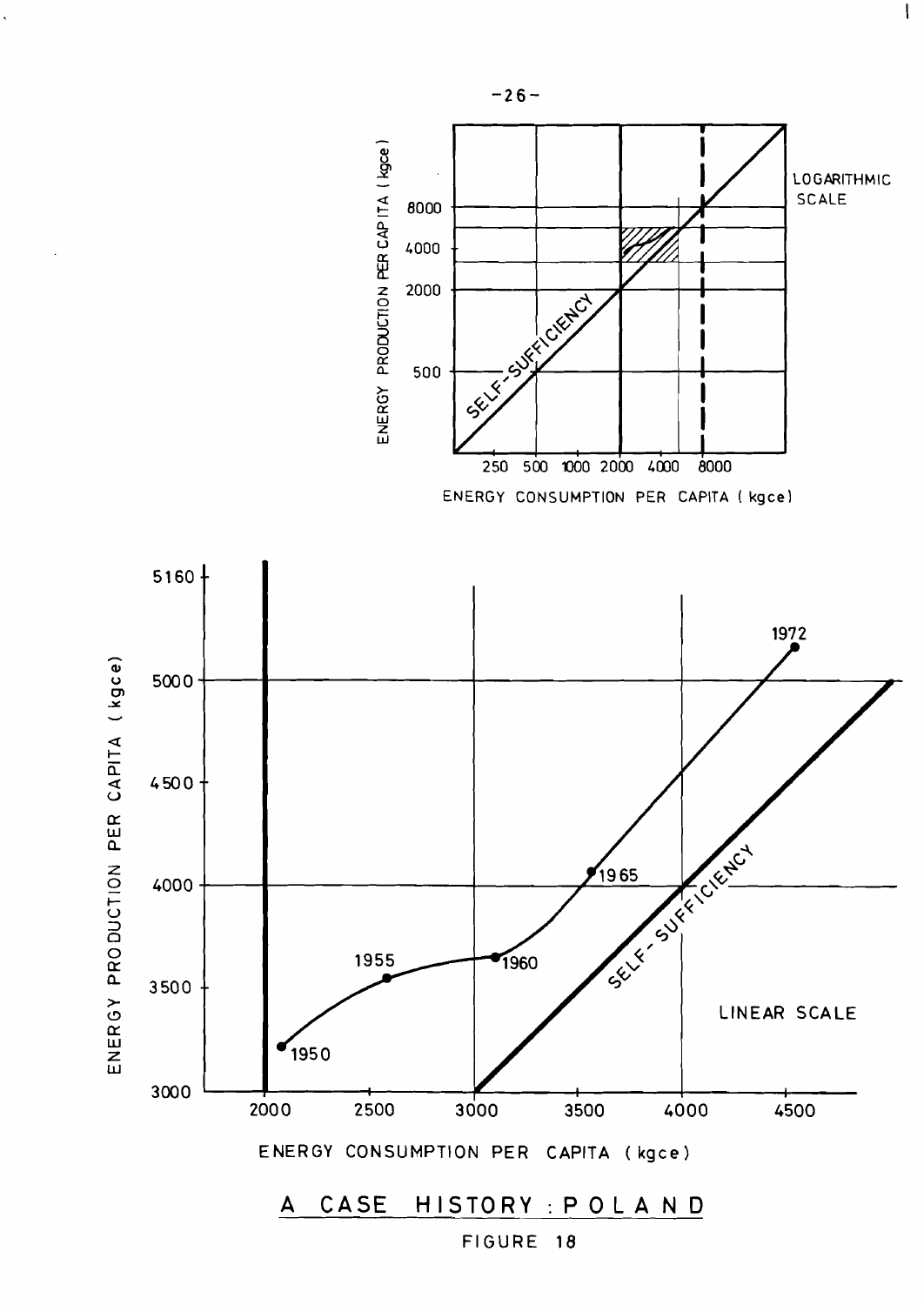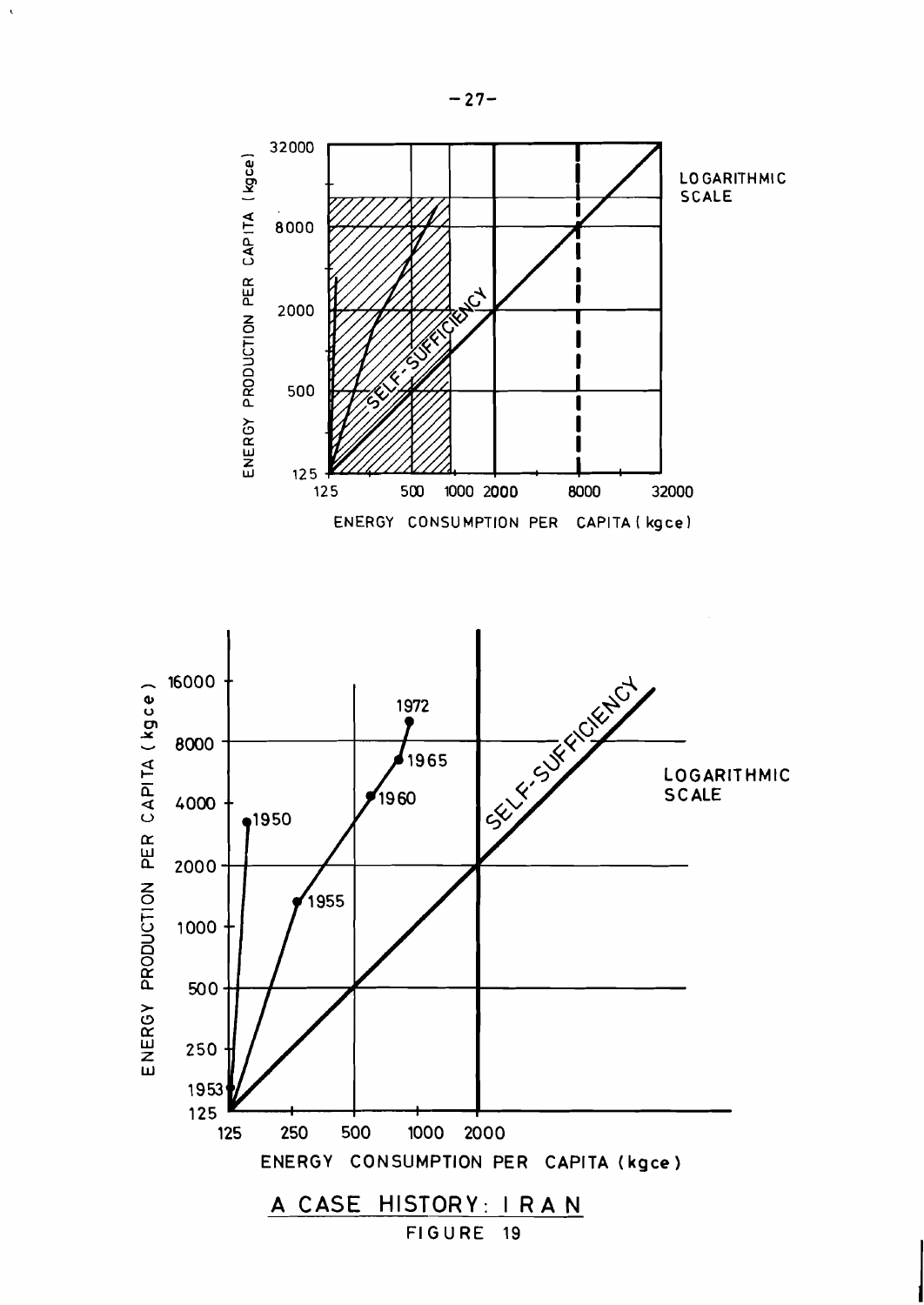



 $\bar{\mathbf{t}}$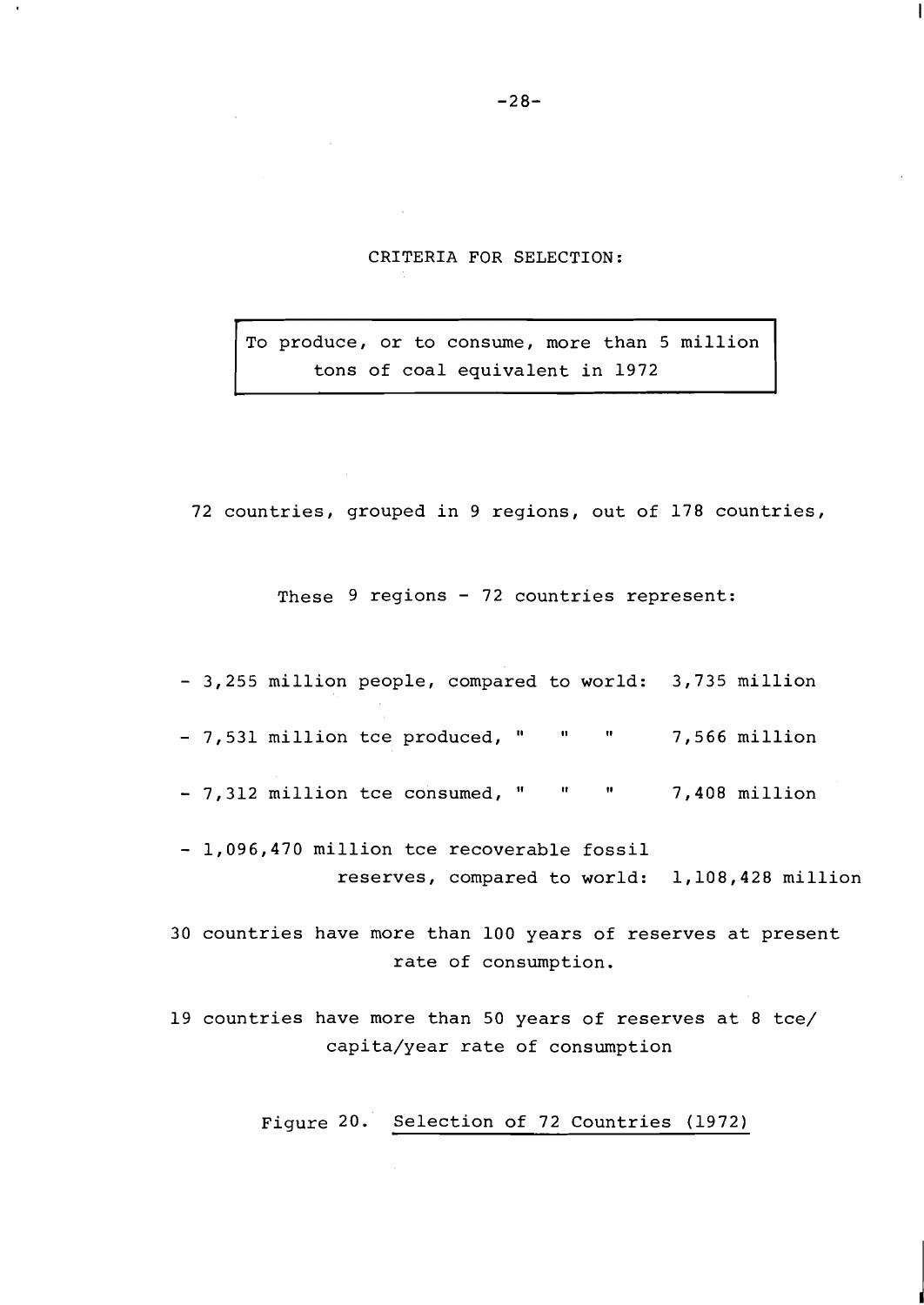### CRITERIA FOR SELECTION:

To produce, or to consume, more than 5 million tons of coal equivalent in 1972

72 countries, grouped in 9 regions, out of 178 countries,

These 9 regions - 72 countries represent:

- 3,255 million people, compared to world: 3,735 million
- 7,531 million tce produced, " " " 7,566 million
- 7,312 million tce consumed, " " " 7,408 million
- 1,096,470 million tce recoverable fossil reserves, compared to world: 1,108,428 million

30 countries have more than 100 years of reserves at present rate of consumption.

19 countries have more than 50 years of reserves at 8 tce/ capita/year rate of consumption

Figure 20. Selection of 72 Countries (1972)

 $-28-$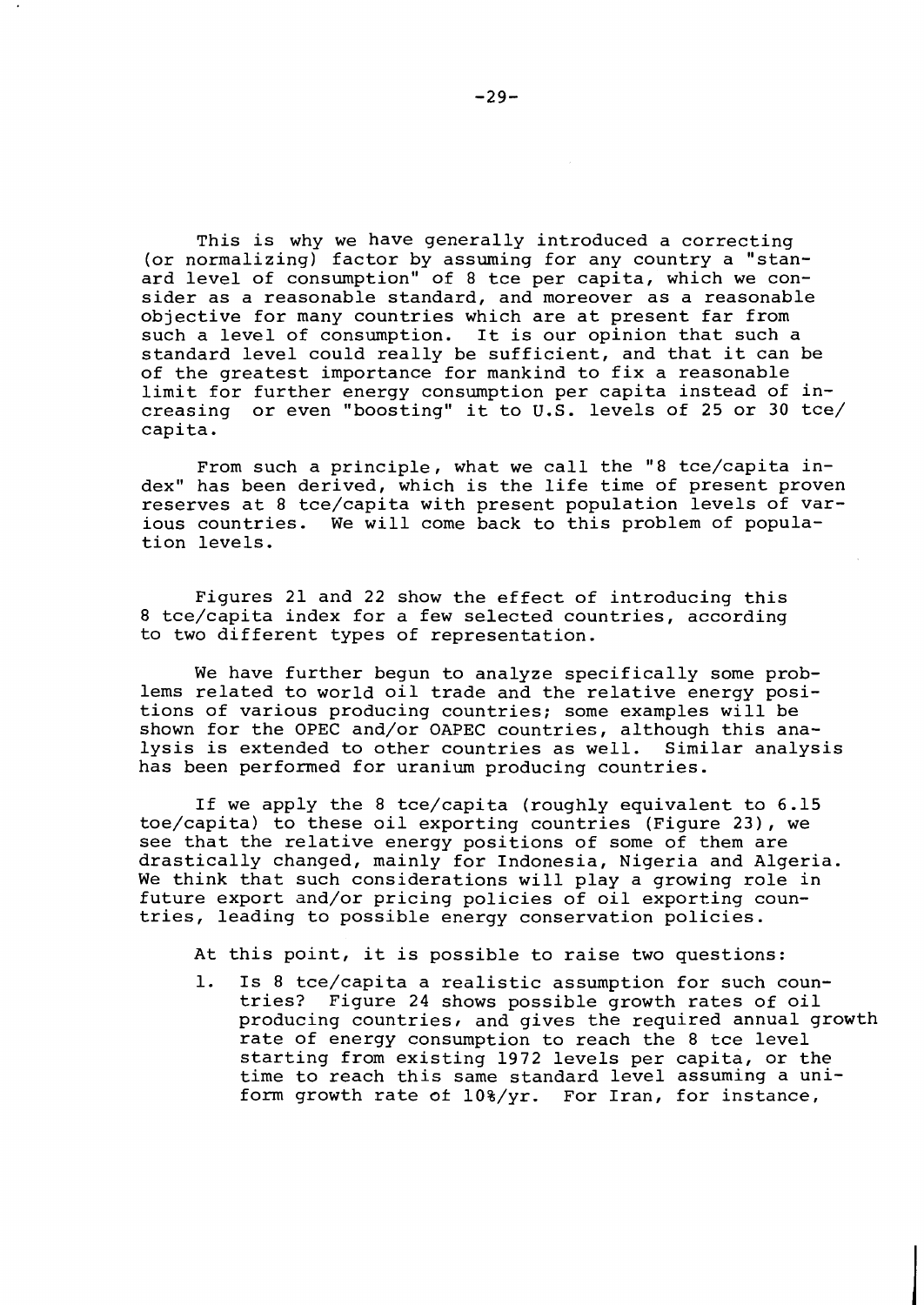This is why we have generally introduced a correcting (or normalizing) factor by assuming for any country a "stanard level of consumption" of 8 tce per capita, which we consider as a reasonable standard, and moreover as a reasonable objective for many countries which are at present far from such a level of consumption. It is our opinion that such a standard level could really be sufficient, and that it can be of the greatest importance for mankind to fix a reasonable limit for further energy consumption per capita instead of in-creasing or even "boosting" it to U.S. levels of 25 or 30 tce/ capita.

From such a principle, what we call the "8 tce/capita index" has been derived, which is the life time of present proven reserves at 8 tce/capita with present population levels of various countries. We will come back to this problem of population levels.

Figures 21 and 22 show the effect of introducing this 8 tce/capita index for a few selected countries, according to two different types of representation.

We have further begun to analyze specifically some problems related to world oil trade and the relative energy positions of various producing countries; some examples will be shown for the OPEC and/or OAPEC countries, although this analysis is extended to other countries as well. Similar analysis has been performed for uranium producing countries.

If we apply the 8 tce/capita (roughly equivalent to 6.15 toe/capita) to these oil exporting countries (Figure 23), we see that the relative energy positions of some of them are drastically changed, mainly for Indonesia, Nigeria and Algeria. We think that such considerations will play a growing role in future export and/or pricing policies of oil exporting countries, leading to possible energy conservation policies.

At this point, it is possible to raise two questions:

1. Is 8 tce/capita a realistic assumption for such countries? Figure 24 shows possible growth rates of oil producing countries, and gives the required annual growth rate of energy consumption to reach the 8 tce level starting from existing 1972 levels per capita, or the time to reach this same standard level assuming a uniform growth rate of 10%/yr. For Iran, for instance,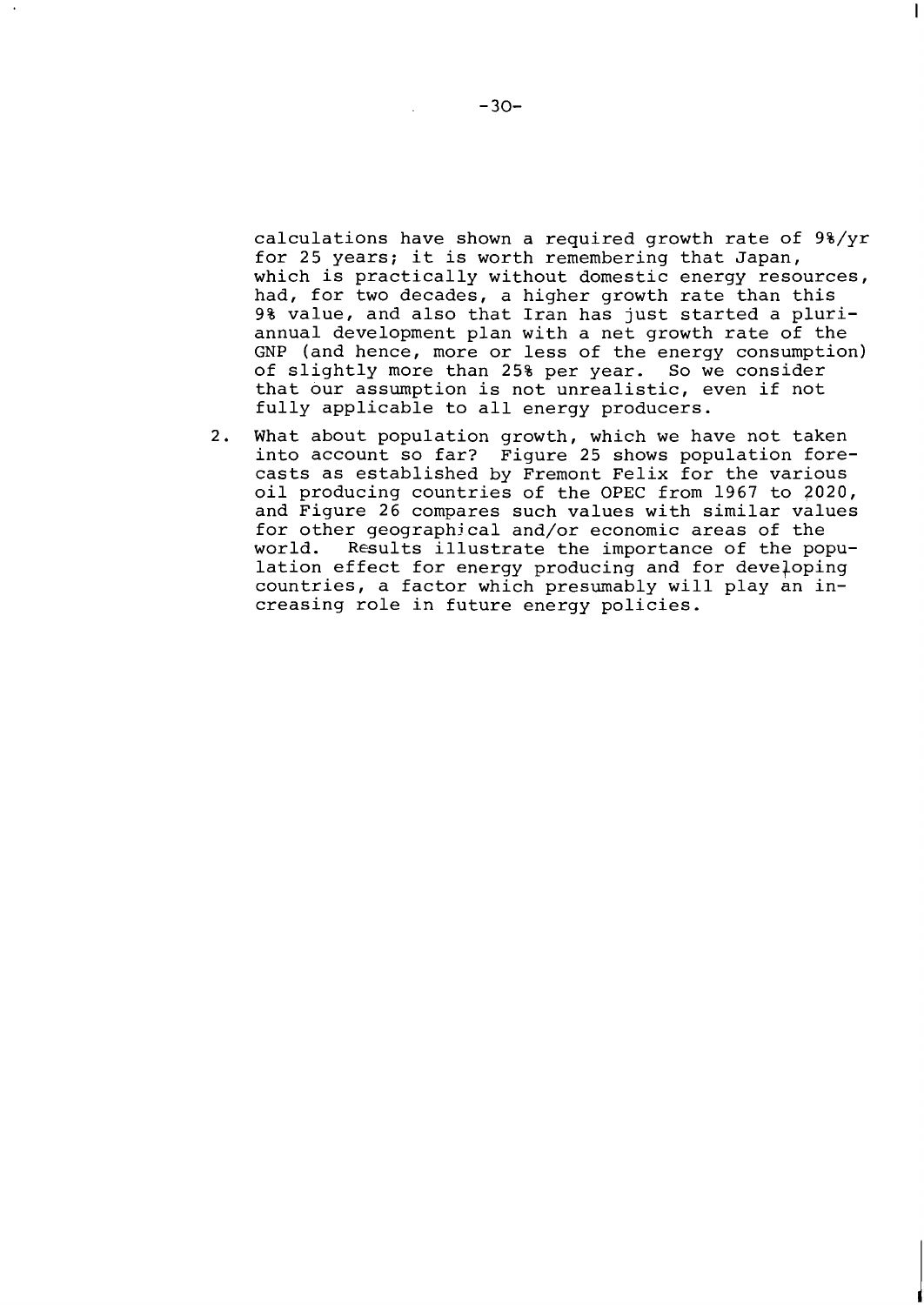calculations have shown a required growth rate of 9%/yr for 25 years; it is worth remembering that Japan, which is practically without domestic energy resources, had, for two decades, a higher growth rate than this 9% value, and also that Iran has just started a pluriannual development plan with a net growth rate of the GNP (and hence, more or less of the energy consumption) of slightly more than 25% per year. So we consider that our assumption is not unrealistic, even if not fully applicable to all energy producers.

 $\mathbf{I}$ 

2. What about population growth, which we have not taken into account so far? Figure 25 shows population forecasts as established by Fremont Felix for the various oil producing countries of the OPEC from 1967 to 2020, and Figure 26 compares such values with similar values for other geographical and/or economic areas of the Results illustrate the importance of the population effect for energy producing and for developing countries, a factor which presumably will play an increasing role in future energy policies.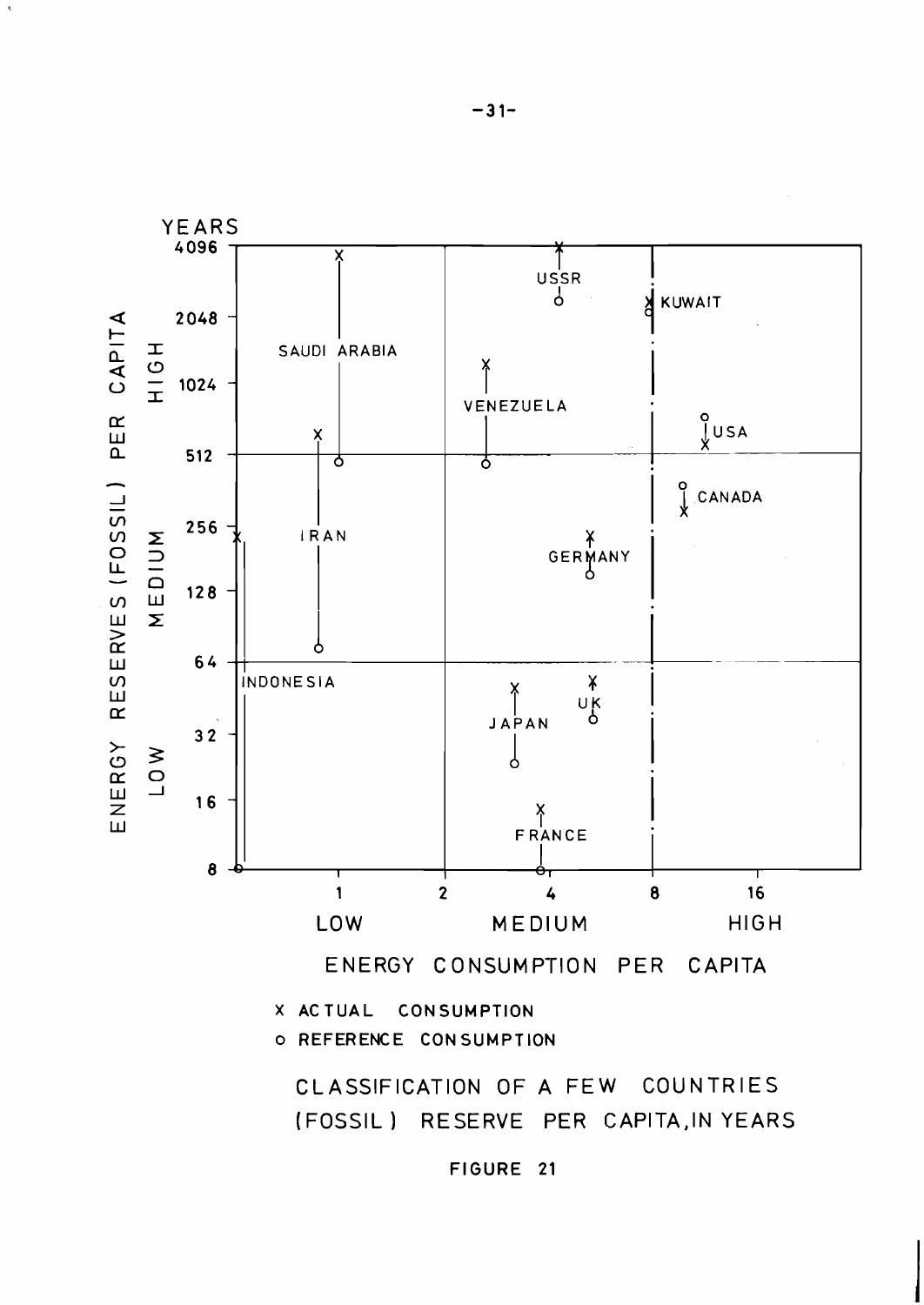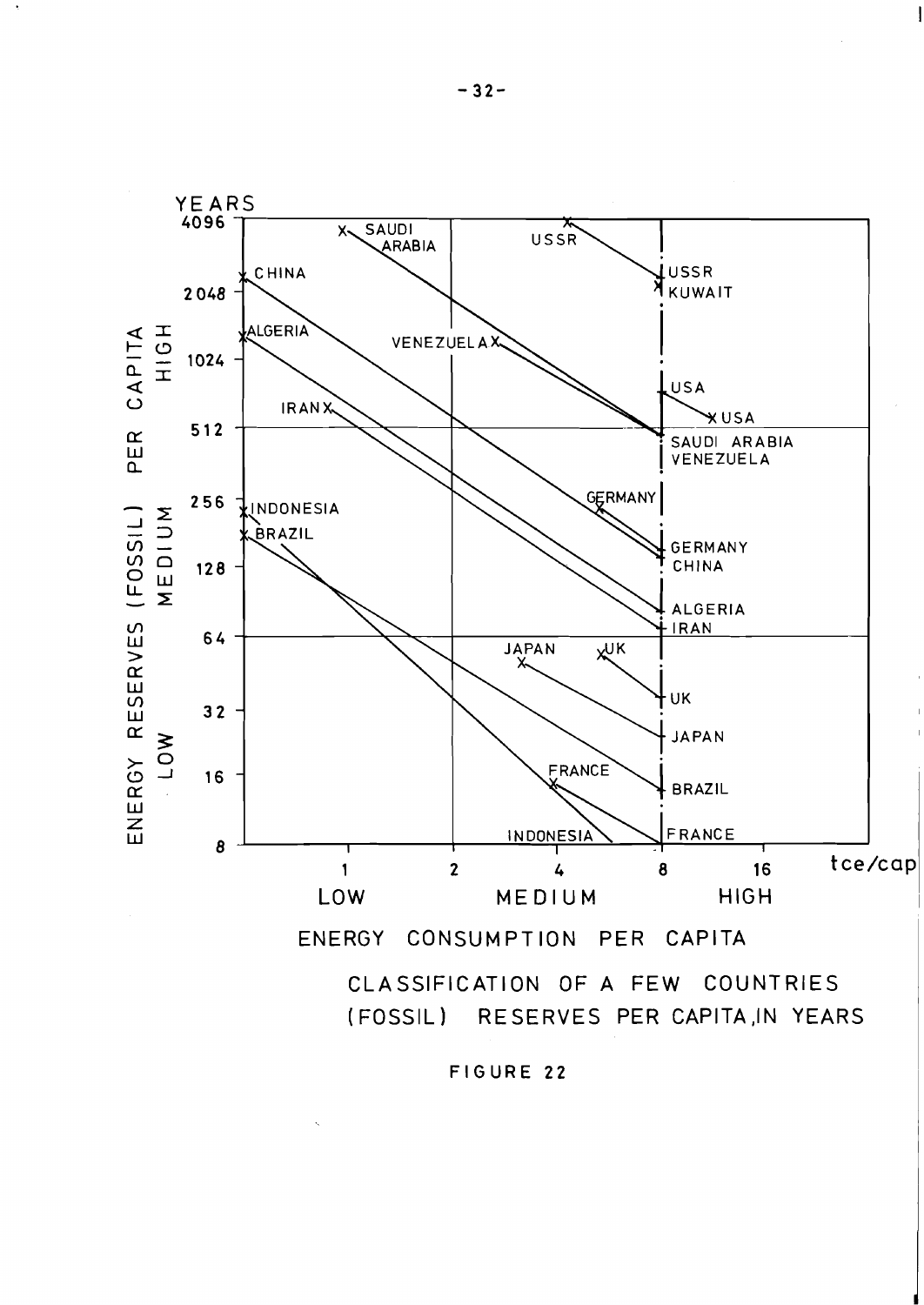

**FIGURE 22** 

 $-32-$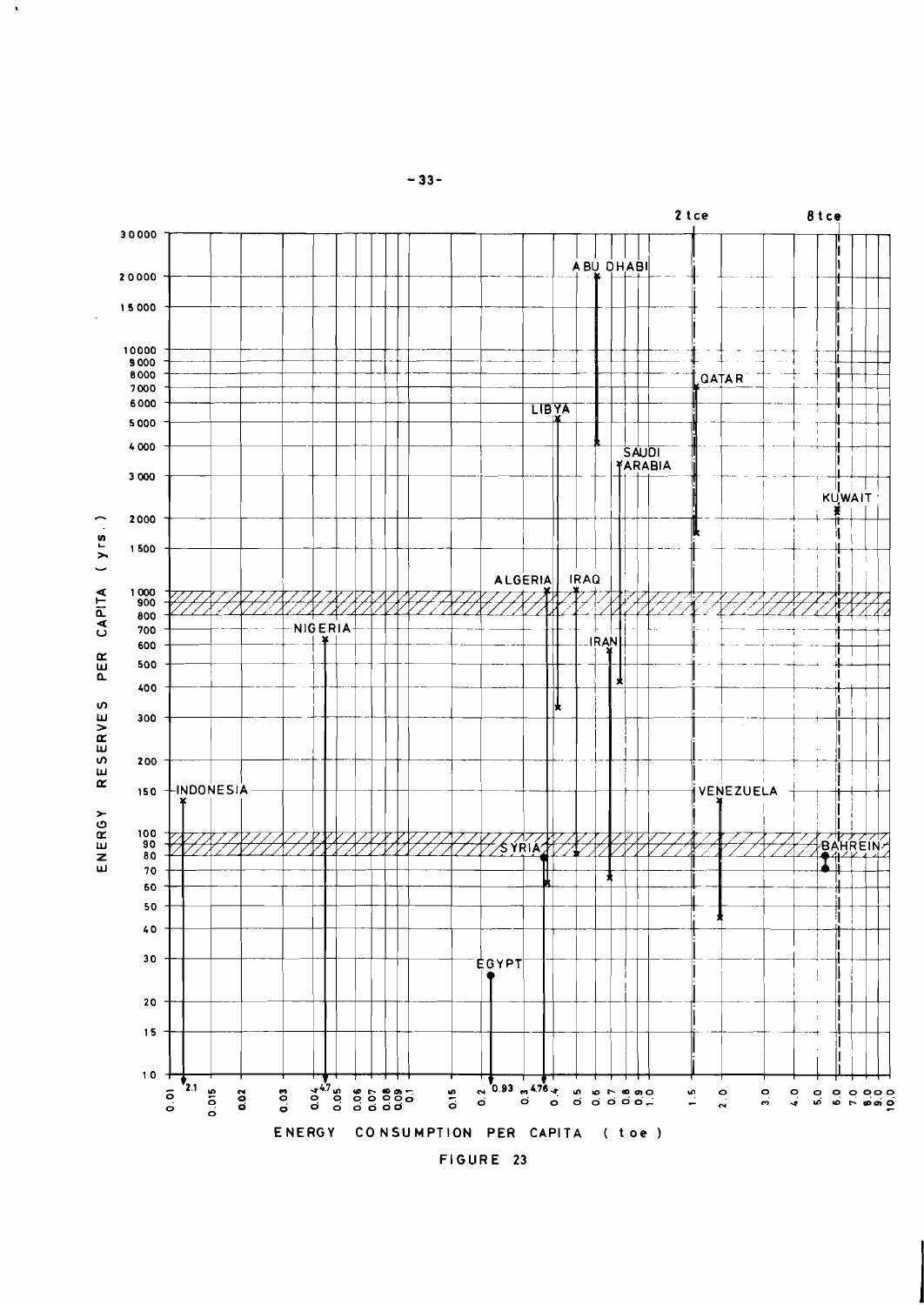

 $-33-$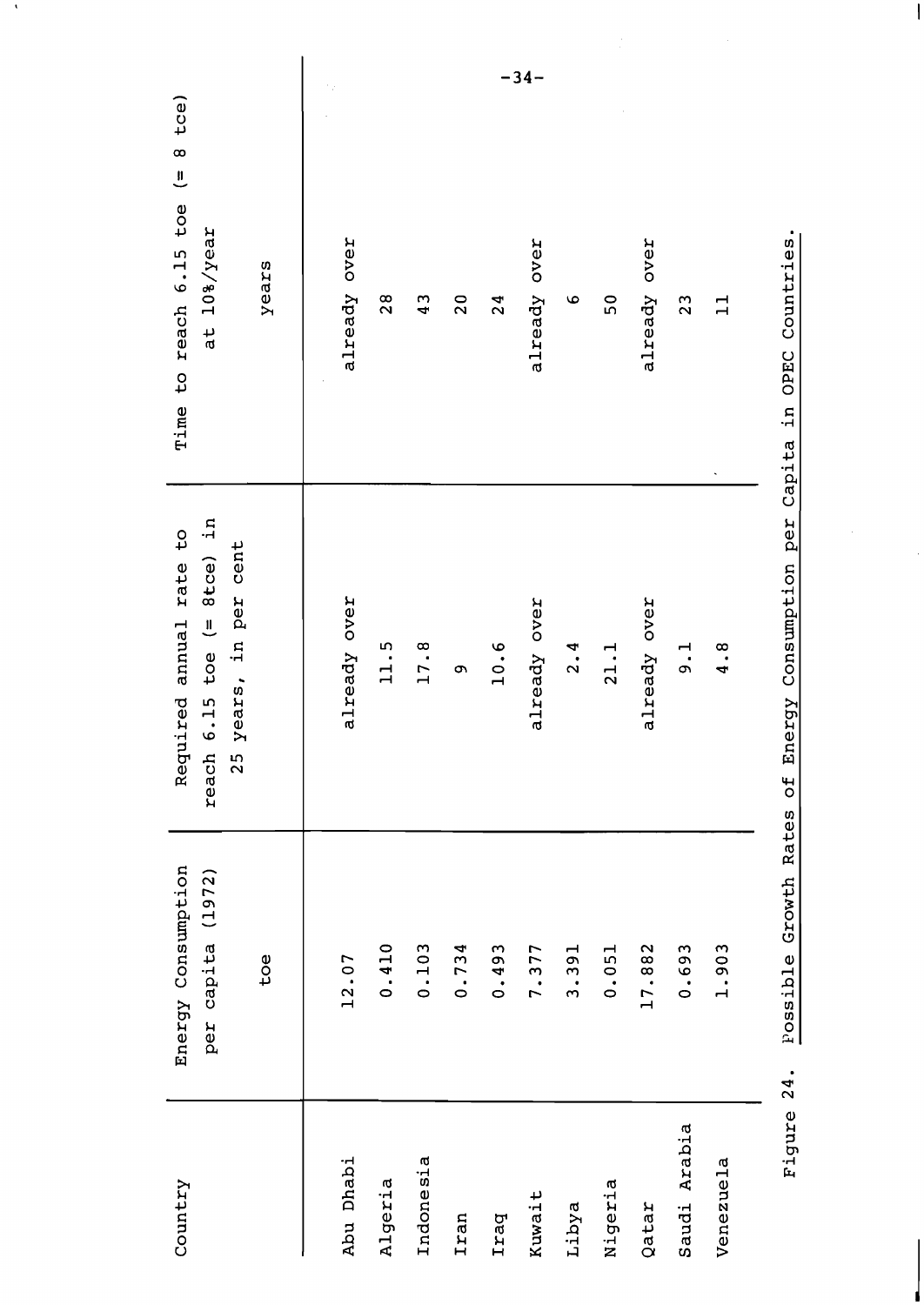| Energy Consumption   | Required annual rate to                         | $(= 8$ tre)<br>Time to reach 6.15 toe                                                                           |
|----------------------|-------------------------------------------------|-----------------------------------------------------------------------------------------------------------------|
| (1972)<br>per capita | in<br>8tce)<br>$\text{to}$ $($<br>6.15<br>reach | at 10%/year                                                                                                     |
|                      | years, in per cent<br>25                        |                                                                                                                 |
| toe                  |                                                 | years                                                                                                           |
|                      |                                                 |                                                                                                                 |
| 12.07                | already over                                    | already over                                                                                                    |
| 0.410                | 11.5                                            | $\frac{8}{2}$                                                                                                   |
| 0.103                | 17.8                                            | $\frac{3}{4}$                                                                                                   |
| 0.734                | G                                               | 20                                                                                                              |
| 0.493                | 10.6                                            | 24                                                                                                              |
| 7.377                | already over                                    | $-34-$<br>over<br>already                                                                                       |
| 3.391                | 2.4                                             | $\bullet$                                                                                                       |
| 0.051                | 21.1                                            | 50                                                                                                              |
| 17.882               | already over                                    | already over                                                                                                    |
| 0.693                | $\frac{1}{9}$ .                                 | 23                                                                                                              |
| 1.903                | 4.8                                             | $\mathbf{1}$                                                                                                    |
|                      |                                                 | contribution of the second reservation and reservation and reservation and reservation and reservation of the s |
|                      | $\tilde{c}$                                     | こくらく<br>Doeihlo Croth Dator of Pr                                                                               |

Fiqure 24. Possible Growth Rates of Energy Consumption per Capita in OPEC Countries. Figure 24. Possible Growth Rates of Energy Consumption per Capita in OPEC Countries.  $\vert$ 

 $\ddot{\phantom{0}}$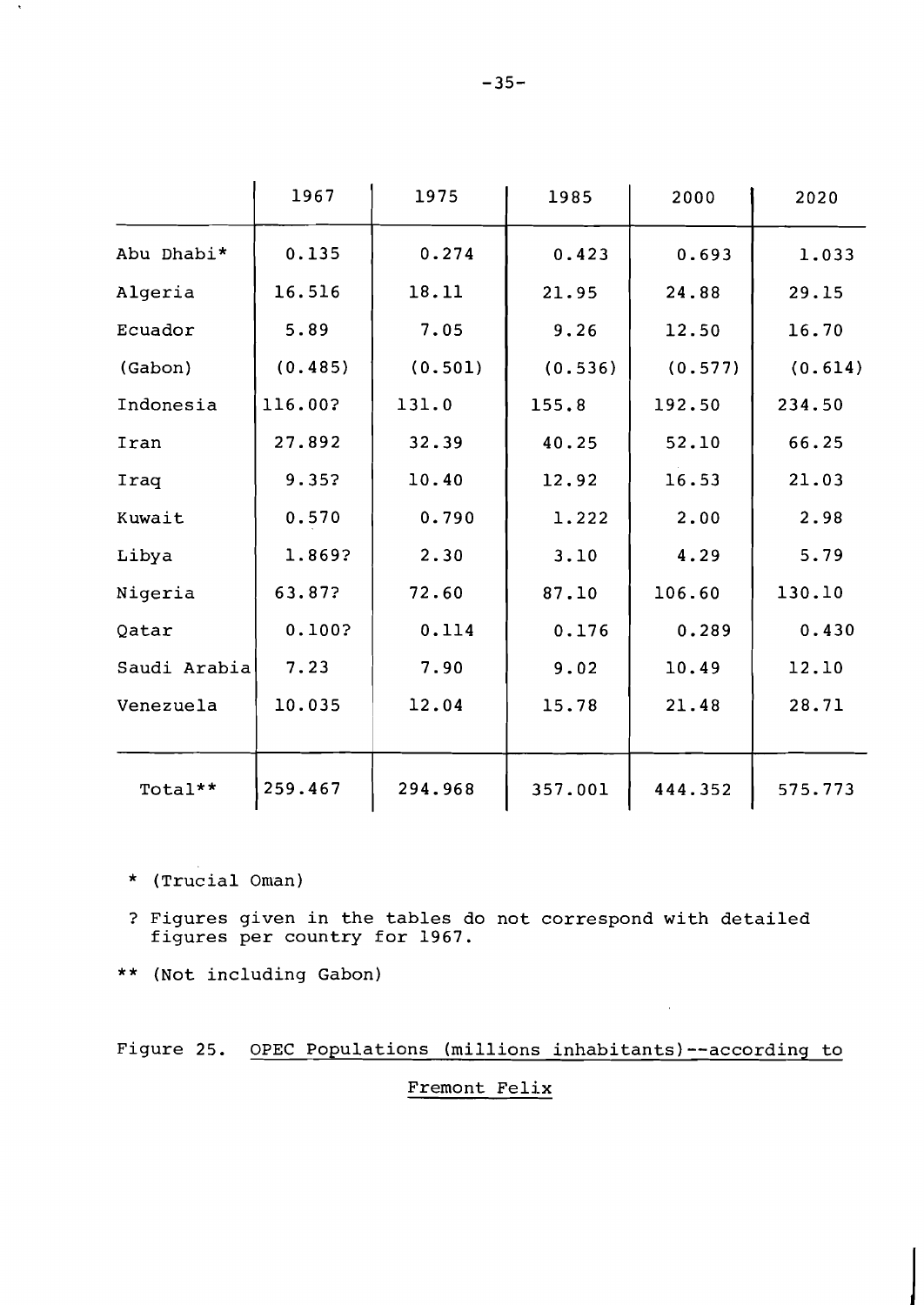|              | 1967    | 1975    | 1985    | 2000    | 2020    |
|--------------|---------|---------|---------|---------|---------|
| Abu Dhabi*   | 0.135   | 0.274   | 0.423   | 0.693   | 1.033   |
| Algeria      | 16.516  | 18.11   | 21.95   | 24.88   | 29.15   |
| Ecuador      | 5.89    | 7.05    | 9.26    | 12.50   | 16.70   |
| (Gabon)      | (0.485) | (0.501) | (0.536) | (0.577) | (0.614) |
| Indonesia    | 116.00? | 131.0   | 155.8   | 192.50  | 234.50  |
| Iran         | 27.892  | 32.39   | 40.25   | 52.10   | 66.25   |
| Iraq         | 9.35?   | 10.40   | 12.92   | 16.53   | 21.03   |
| Kuwait       | 0.570   | 0.790   | 1.222   | 2.00    | 2.98    |
| Libya        | 1.869?  | 2.30    | 3.10    | 4.29    | 5.79    |
| Nigeria      | 63.87?  | 72.60   | 87.10   | 106.60  | 130.10  |
| Qatar        | 0.100?  | 0.114   | 0.176   | 0.289   | 0.430   |
| Saudi Arabia | 7.23    | 7.90    | 9.02    | 10.49   | 12.10   |
| Venezuela    | 10.035  | 12.04   | 15.78   | 21.48   | 28.71   |
| Total**      | 259.467 | 294.968 | 357.001 | 444.352 | 575.773 |

\* (Trucial Oman)

 $\ddot{\phantom{1}}$ 

? Figures given in the tables do not correspond with detailed figures per country for 1967.

\*\* (Not including Gabon)

Figure 25. OPEC Populations (millions inhabitants)--according to Fremont Felix

 $\sim 10^7$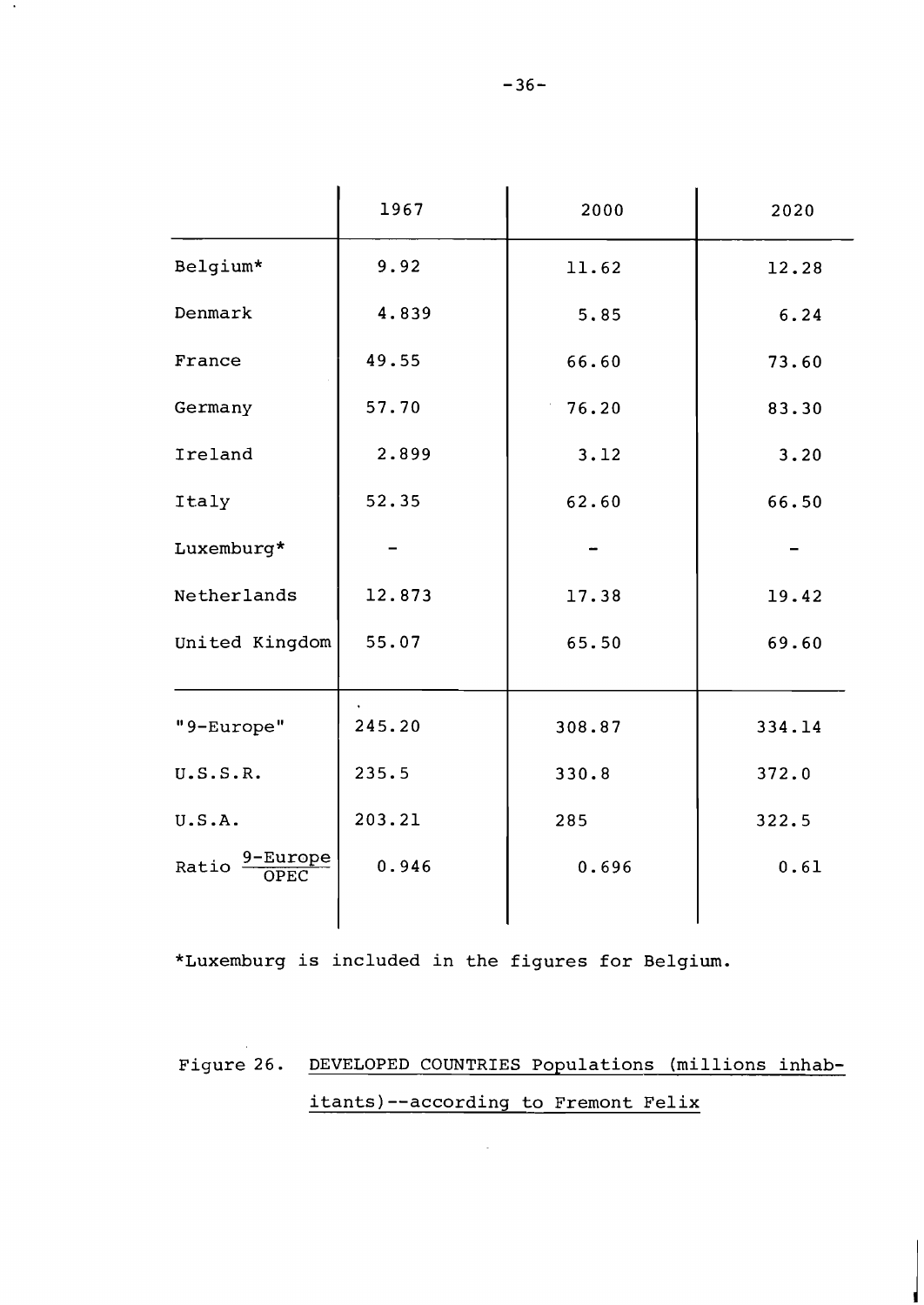|                                               | 1967   | 2000   | 2020   |  |
|-----------------------------------------------|--------|--------|--------|--|
| Belgium*                                      | 9.92   | 11.62  | 12.28  |  |
| Denmark                                       | 4.839  | 5.85   | 6.24   |  |
| France                                        | 49.55  | 66.60  | 73.60  |  |
| Germany                                       | 57.70  | 76.20  | 83.30  |  |
| Ireland                                       | 2.899  | 3.12   | 3.20   |  |
| Italy                                         | 52.35  | 62.60  | 66.50  |  |
| Luxemburg*                                    |        |        |        |  |
| Netherlands                                   | 12.873 | 17.38  | 19.42  |  |
| United Kingdom                                | 55.07  | 65.50  | 69.60  |  |
|                                               |        |        |        |  |
| "9-Europe"                                    | 245.20 | 308.87 | 334.14 |  |
| U.S.S.R.                                      | 235.5  | 330.8  | 372.0  |  |
| U.S.A.                                        | 203.21 | 285    | 322.5  |  |
| Ratio $\frac{9 - \text{Europe}}{\text{OPEC}}$ | 0.946  | 0.696  | 0.61   |  |
|                                               |        |        |        |  |

\*Luxemburg is included in the figures for Belgium.

# Figure 26. DEVELOPED COUNTRIES Populations (millions inhabitants)--according to Fremont Felix

 $\sim$ 

 $\sim$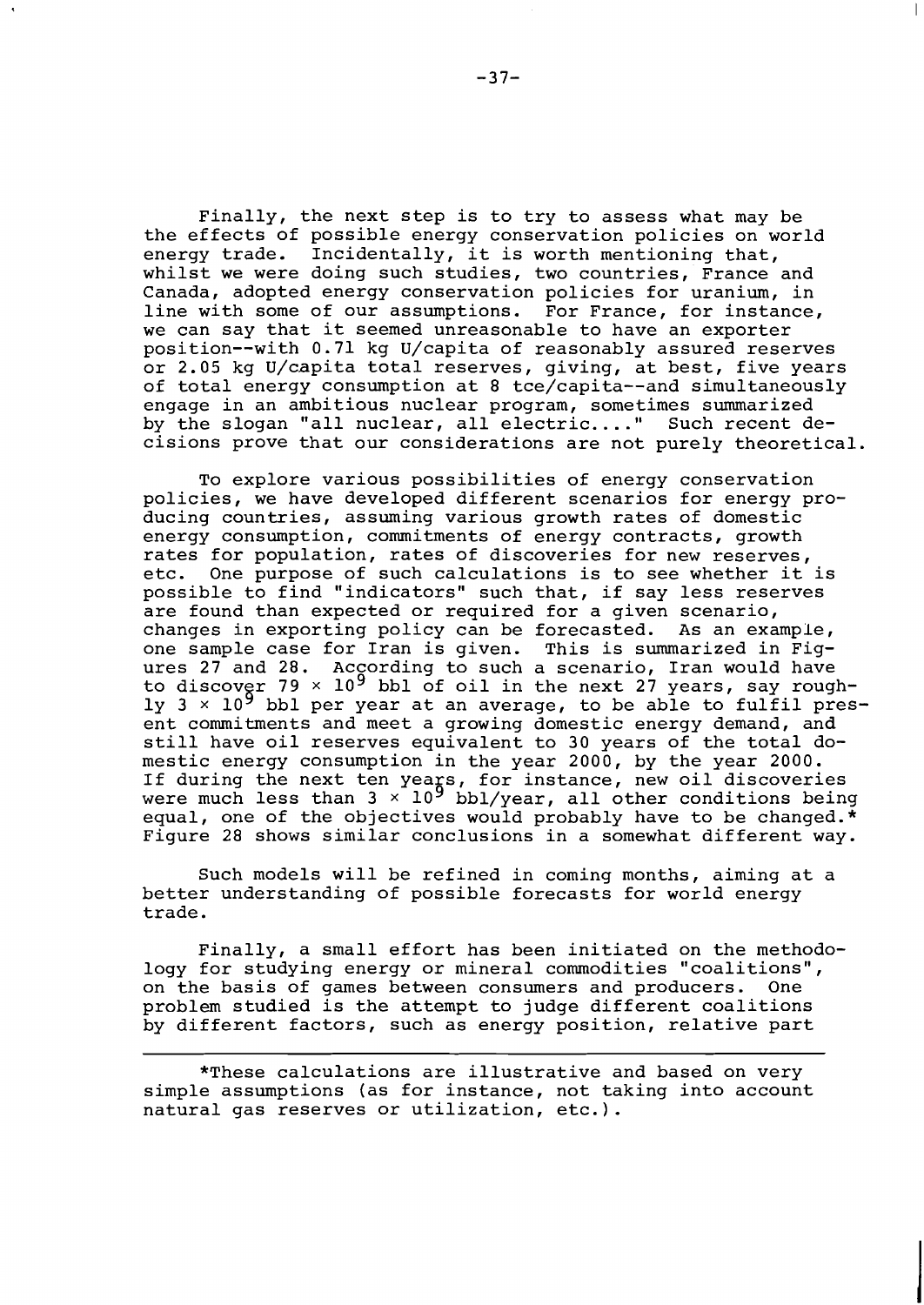Finally, the next step is to try to assess what may be the effects of possible energy conservation policies on world<br>energy trade. Incidentally, it is worth mentioning that, Incidentally, it is worth mentioning that, whilst we were doing such studies, two countries, France and Canada, adopted energy conservation policies for uranium, in line with some of our assumptions. For France, for instance, we can say that it seemed unreasonable to have an exporter position--with 0.71 kg U/capita of reasonably assured reserves or 2.05 kg U/capita total reserves, giving, at best, five years of total energy consumption at 8 tce/capita--and simultaneously engage in an ambitious nuclear program, sometimes summarized by the slogan "all nuclear, all electric...." Such recent decisions prove that our considerations are not purely theoretical.

To explore various possibilities of energy conservation policies, we have developed different scenarios for energy producing countries, assuming various growth rates of domestic energy consumption, commitments of energy contracts, growth rates for population, rates of discoveries for new reserves, etc. One purpose of such calculations is to see whether it is possible to find "indicators" such that, if say less reserves are found than expected or required for a given scenario, changes in exporting policy can be forecasted. As an example, one sample case for Iran is given. This is summarized in Figures 27 and 28. According to such a scenario, Iran would have to discover 79 x 10<sup>9</sup> bbl of oil in the next 27 years, say roughly  $3 \times 10^9$  bbl per year at an average, to be able to fulfil present commitments and meet a growing domestic energy demand, and still have oil reserves equivalent to 30 years of the total domestic energy consumption in the year 2000, by the year 2000. If during the next ten years, for instance, new oil discoveries were much less than  $3 \times 10^9$  bbl/year, all other conditions being equal, one of the objectives would probably have to be changed.\* Figure 28 shows similar conclusions in a somewhat different way.

Such models will be refined in coming months, aiming at a better understanding of possible forecasts for world energy trade.

Finally, a small effort has been initiated on the methodology for studying energy or mineral commodities "coalitions", on the basis of games between consumers and producers. One problem studied is the attempt to judge different coalitions by different factors, such as energy position, relative part

\*These calculations are illustrative and based on very simple assumptions (as for instance, not taking into account natural gas reserves or utilization, etc.).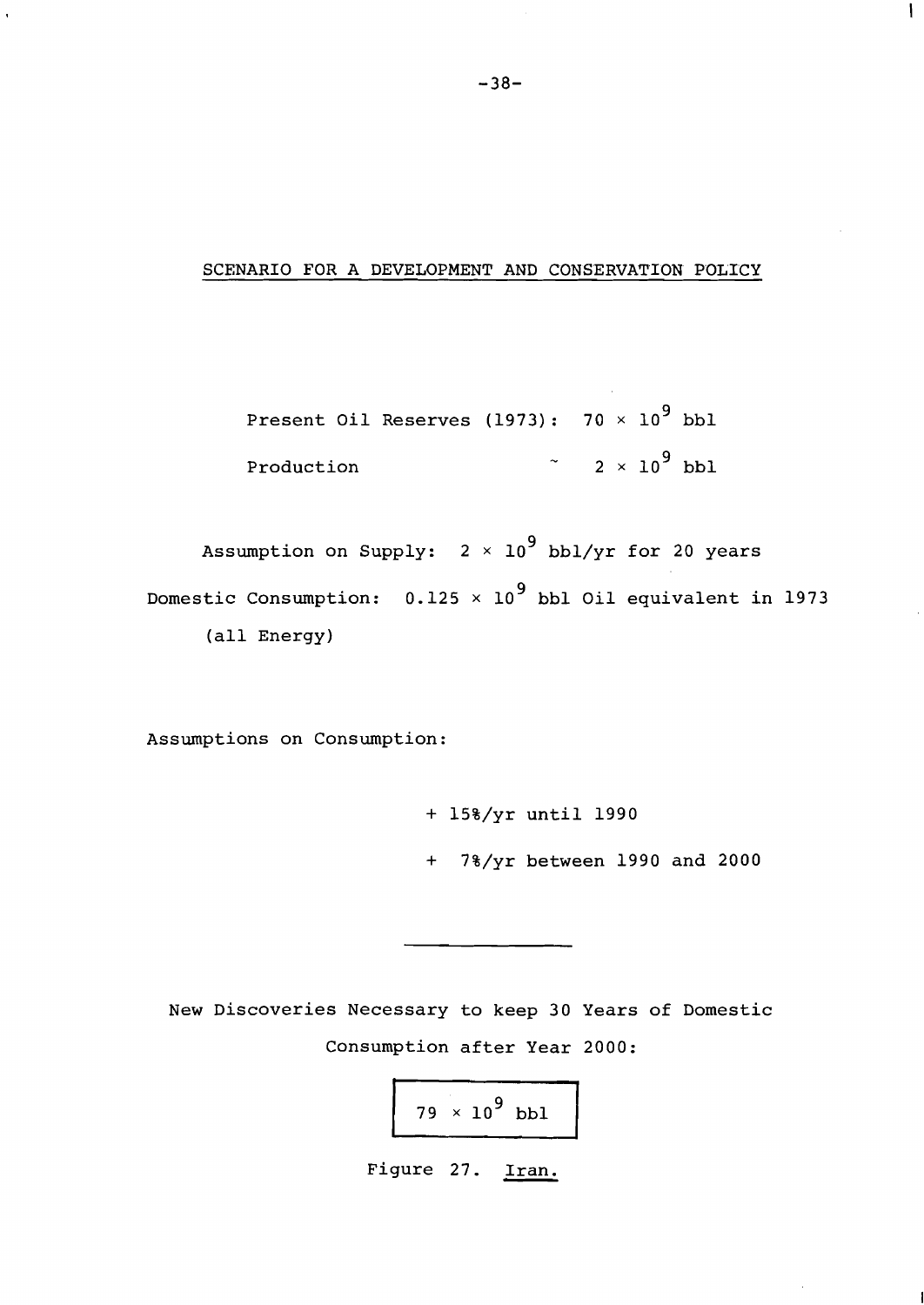### SCENARIO FOR A DEVELOPMENT AND CONSERVATION POLICY

Present Oil Reserves (1973):  $70 \times 10^9$  bbl Production  $2 \times 10^9$  bbl

Assumption on Supply:  $2 \times 10^9$  bbl/yr for 20 years Domestic Consumption:  $0.125 \times 10^9$  bbl Oil equivalent in 1973 (all Energy)

Assumptions on Consumption:

+ 15%/yr until 1990

+ 7%/yr between 1990 and 2000

New Discoveries Necessary to keep 30 Years of Domestic Consumption after Year 2000:

$$
\boxed{79 \times 10^9 \text{ bbl}}
$$

Figure 27. Iran.

 $\mathbf{I}$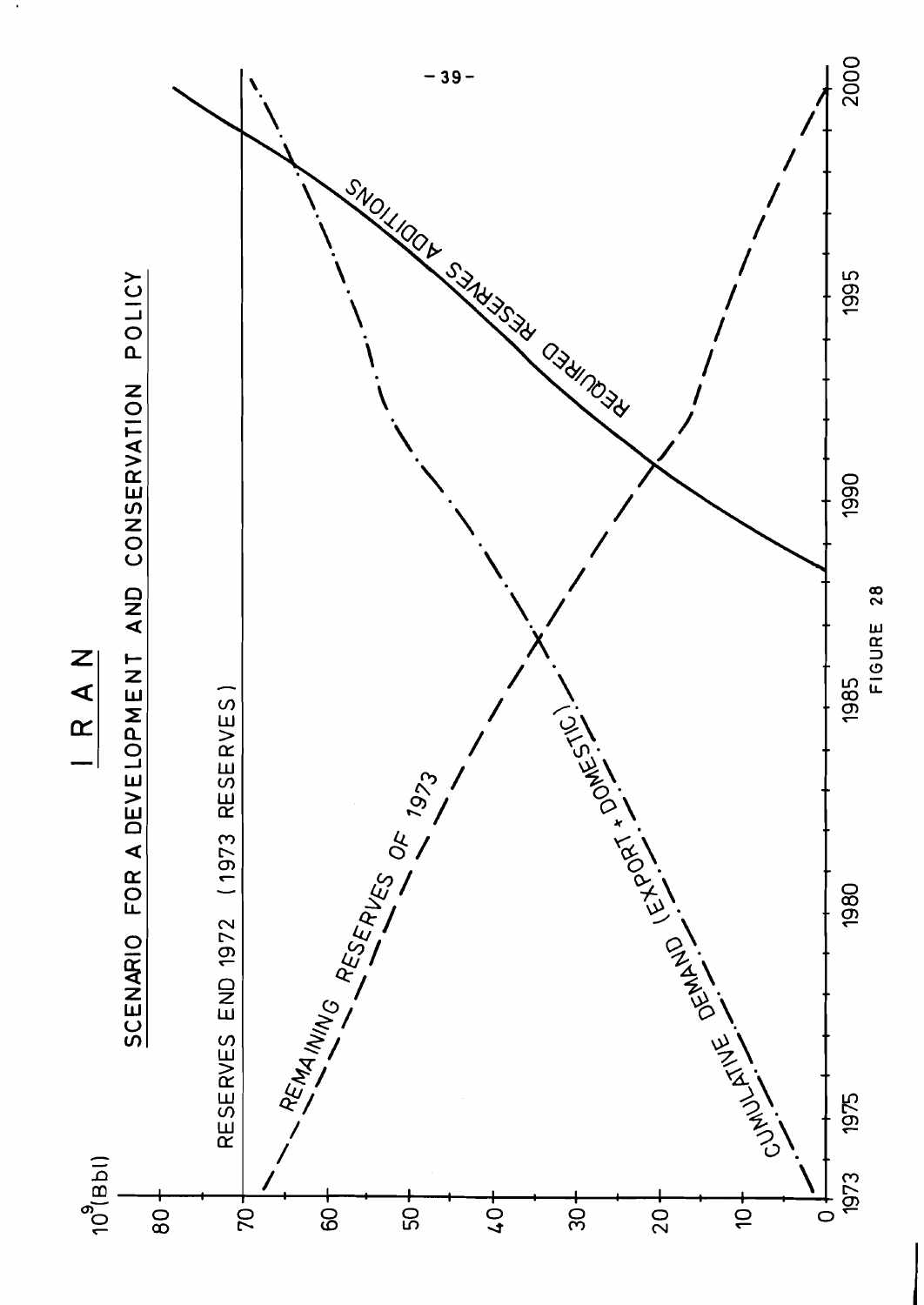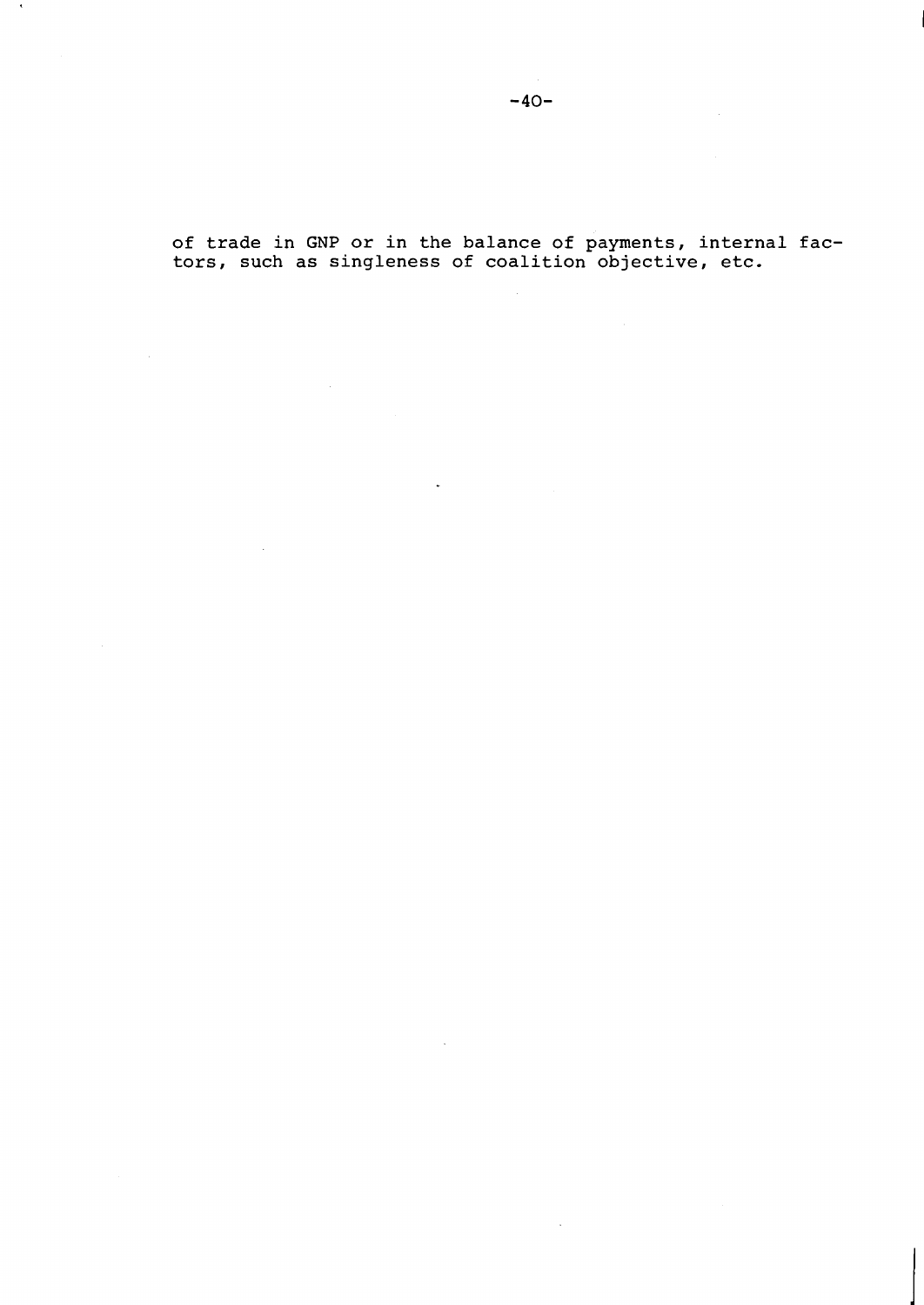**of trade in GNP or in the balance of payments, internal factors, such as singleness of coalition objective, etc.** 

 $\ddot{\phantom{a}}$ 

 $\langle \rangle$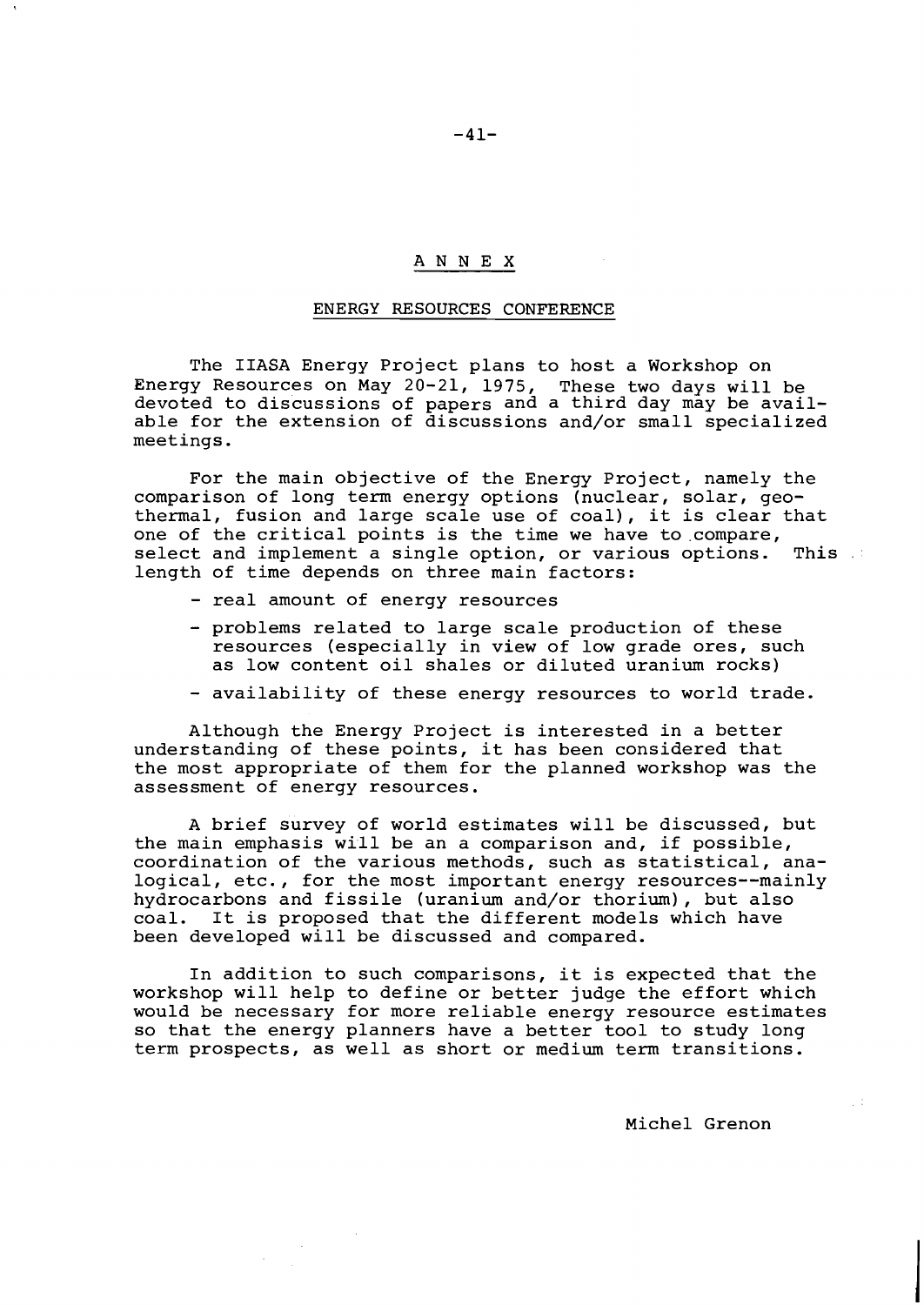### ANNEX

#### ENERGY RESOURCES CONFERENCE

The IIASA Energy Project plans to host a Workshop on Energy Resources on May 20-21, 1975, These two days will be devoted to discussions of papers and a third day may be available for the extension of discussions and/or small specialized meetings.

For the main objective of the Energy Project, namely the comparison of long term energy options (nuclear, solar, geothermal, fusion and large scale use of coal), it is clear that one of the critical points is the time we have to.compare, select and implement a single option, or various options. This length of time depends on three main factors:

- real amount of energy resources

 $\sim$ 

- problems related to large scale production of these resources (especially in view of low grade ores, such as low content oil shales or diluted uranium rocks)
- availability of these energy resources to world trade.

Although the Energy Project is interested in a better understanding of these points, it has been considered that the most appropriate of them for the planned workshop was the assessment of energy resources.

A brief survey of world estimates will be discussed, but the main emphasis will be an a comparison and, if possible, coordination of the various methods, such as statistical, analogical, etc., for the most important energy resources--mainly hydrocarbons and fissile (uranium and/or thorium), but also coal. It is proposed that the different models which have been developed will be discussed and compared.

In addition to such comparisons, it is expected that the workshop will help to define or better judge the effort which would be necessary for more reliable energy resource estimates so that the energy planners have a better tool to study long term prospects, as well as short or medium term transitions.

Michel Grenon